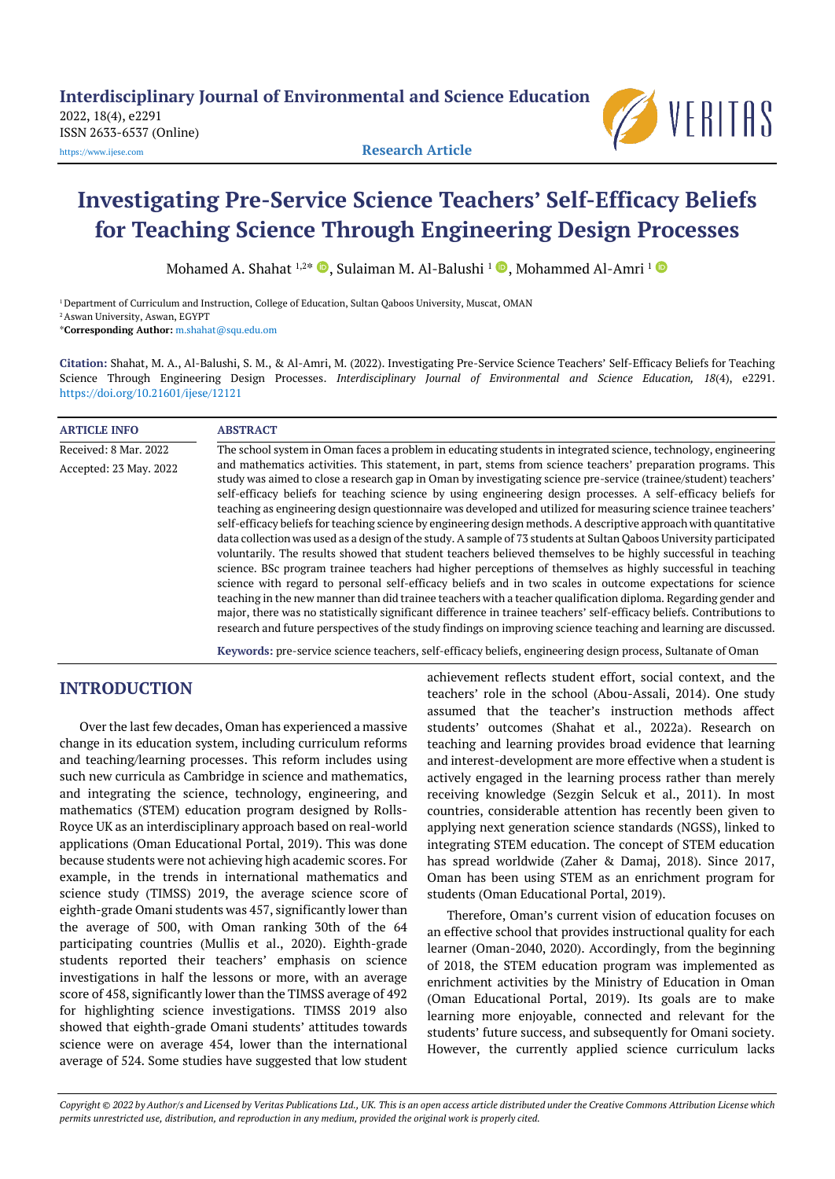2022, 18(4), e2291 ISSN 2633-6537 (Online) [https://www.ijese.com](https://www.ijese.com/) **Research Article**



# **Investigating Pre-Service Science Teachers' Self-Efficacy Beliefs for Teaching Science Through Engineering Design Processes**

Mohamed A. Shahat 1,2\* ©, Sulaiman M. Al-Balushi <sup>1</sup> ©, Mohammed Al-Amri <sup>1</sup>

<sup>1</sup> Department of Curriculum and Instruction, College of Education, Sultan Qaboos University, Muscat, OMAN <sup>2</sup> Aswan University, Aswan, EGYPT \***Corresponding Author:** [m.shahat@squ.edu.om](mailto:m.shahat@squ.edu.om)

**Citation:** Shahat, M. A., Al-Balushi, S. M., & Al-Amri, M. (2022). Investigating Pre-Service Science Teachers' Self-Efficacy Beliefs for Teaching Science Through Engineering Design Processes. *Interdisciplinary Journal of Environmental and Science Education, 18*(4), e2291. <https://doi.org/10.21601/ijese/12121>

| <b>ARTICLE INFO</b>    | <b>ABSTRACT</b>                                                                                                                                                                                                                                                                                                                                                                                                                                                                                                                                                                                                                                                                                                                                                                                                                                                                                                                                                                                                                                                                                                                                                                                                                                                                                                                                                                                                                  |
|------------------------|----------------------------------------------------------------------------------------------------------------------------------------------------------------------------------------------------------------------------------------------------------------------------------------------------------------------------------------------------------------------------------------------------------------------------------------------------------------------------------------------------------------------------------------------------------------------------------------------------------------------------------------------------------------------------------------------------------------------------------------------------------------------------------------------------------------------------------------------------------------------------------------------------------------------------------------------------------------------------------------------------------------------------------------------------------------------------------------------------------------------------------------------------------------------------------------------------------------------------------------------------------------------------------------------------------------------------------------------------------------------------------------------------------------------------------|
| Received: 8 Mar. 2022  | The school system in Oman faces a problem in educating students in integrated science, technology, engineering                                                                                                                                                                                                                                                                                                                                                                                                                                                                                                                                                                                                                                                                                                                                                                                                                                                                                                                                                                                                                                                                                                                                                                                                                                                                                                                   |
| Accepted: 23 May. 2022 | and mathematics activities. This statement, in part, stems from science teachers' preparation programs. This<br>study was aimed to close a research gap in Oman by investigating science pre-service (trainee/student) teachers'<br>self-efficacy beliefs for teaching science by using engineering design processes. A self-efficacy beliefs for<br>teaching as engineering design questionnaire was developed and utilized for measuring science trainee teachers'<br>self-efficacy beliefs for teaching science by engineering design methods. A descriptive approach with quantitative<br>data collection was used as a design of the study. A sample of 73 students at Sultan Oaboos University participated<br>voluntarily. The results showed that student teachers believed themselves to be highly successful in teaching<br>science. BSc program trainee teachers had higher perceptions of themselves as highly successful in teaching<br>science with regard to personal self-efficacy beliefs and in two scales in outcome expectations for science<br>teaching in the new manner than did trainee teachers with a teacher qualification diploma. Regarding gender and<br>major, there was no statistically significant difference in trainee teachers' self-efficacy beliefs. Contributions to<br>research and future perspectives of the study findings on improving science teaching and learning are discussed. |

**Keywords:** pre-service science teachers, self-efficacy beliefs, engineering design process, Sultanate of Oman

# **INTRODUCTION**

Over the last few decades, Oman has experienced a massive change in its education system, including curriculum reforms and teaching/learning processes. This reform includes using such new curricula as Cambridge in science and mathematics, and integrating the science, technology, engineering, and mathematics (STEM) education program designed by Rolls-Royce UK as an interdisciplinary approach based on real-world applications (Oman Educational Portal, 2019). This was done because students were not achieving high academic scores. For example, in the trends in international mathematics and science study (TIMSS) 2019, the average science score of eighth-grade Omani students was 457, significantly lower than the average of 500, with Oman ranking 30th of the 64 participating countries (Mullis et al., 2020). Eighth-grade students reported their teachers' emphasis on science investigations in half the lessons or more, with an average score of 458, significantly lower than the TIMSS average of 492 for highlighting science investigations. TIMSS 2019 also showed that eighth-grade Omani students' attitudes towards science were on average 454, lower than the international average of 524. Some studies have suggested that low student

achievement reflects student effort, social context, and the teachers' role in the school (Abou-Assali, 2014). One study assumed that the teacher's instruction methods affect students' outcomes (Shahat et al., 2022a). Research on teaching and learning provides broad evidence that learning and interest-development are more effective when a student is actively engaged in the learning process rather than merely receiving knowledge (Sezgin Selcuk et al., 2011). In most countries, considerable attention has recently been given to applying next generation science standards (NGSS), linked to integrating STEM education. The concept of STEM education has spread worldwide (Zaher & Damaj, 2018). Since 2017, Oman has been using STEM as an enrichment program for students (Oman Educational Portal, 2019).

Therefore, Oman's current vision of education focuses on an effective school that provides instructional quality for each learner (Oman-2040, 2020). Accordingly, from the beginning of 2018, the STEM education program was implemented as enrichment activities by the Ministry of Education in Oman (Oman Educational Portal, 2019). Its goals are to make learning more enjoyable, connected and relevant for the students' future success, and subsequently for Omani society. However, the currently applied science curriculum lacks

Copyright @ 2022 by Author/s and Licensed by Veritas Publications Ltd., UK. This is an open access article distributed under the Creative Commons Attribution License which permits unrestricted use, distribution, and reproduction in any medium, provided the original work is properly cited.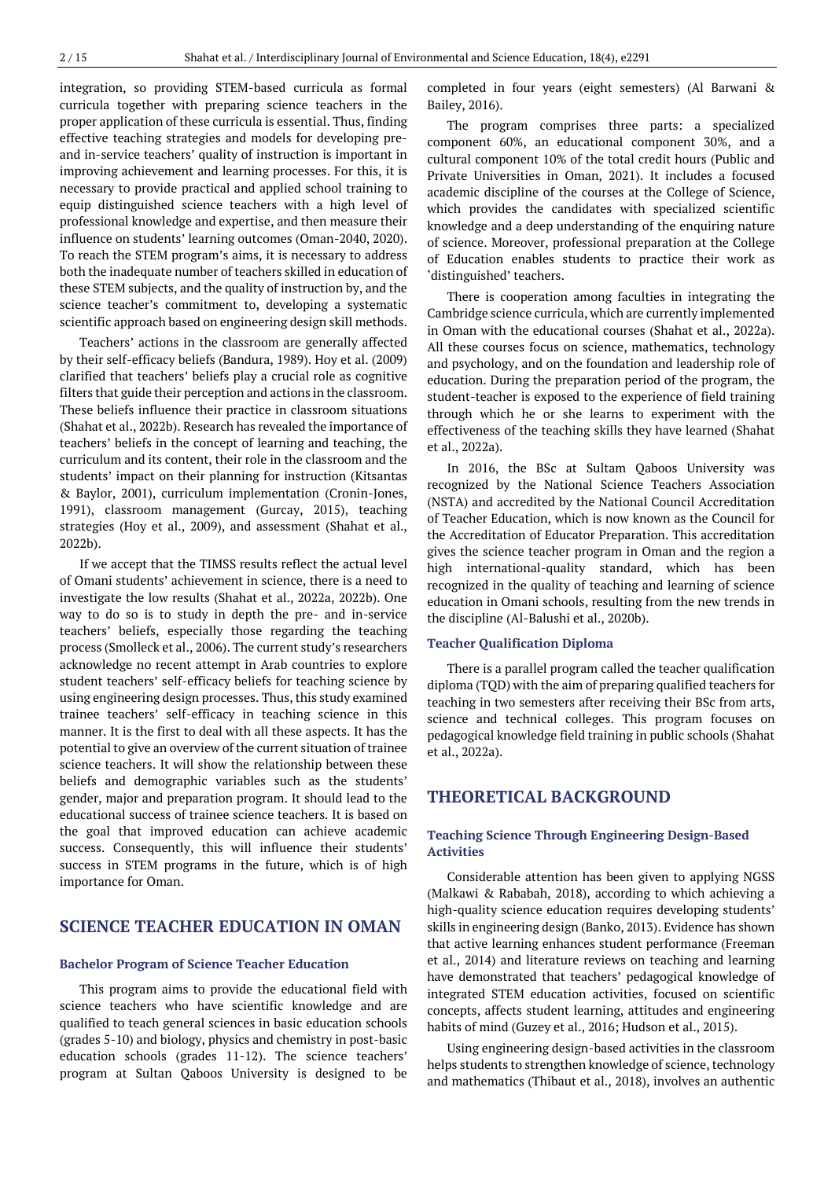integration, so providing STEM-based curricula as formal curricula together with preparing science teachers in the proper application of these curricula is essential. Thus, finding effective teaching strategies and models for developing preand in-service teachers' quality of instruction is important in improving achievement and learning processes. For this, it is necessary to provide practical and applied school training to equip distinguished science teachers with a high level of professional knowledge and expertise, and then measure their influence on students' learning outcomes (Oman-2040, 2020). To reach the STEM program's aims, it is necessary to address both the inadequate number of teachers skilled in education of these STEM subjects, and the quality of instruction by, and the science teacher's commitment to, developing a systematic scientific approach based on engineering design skill methods.

Teachers' actions in the classroom are generally affected by their self-efficacy beliefs (Bandura, 1989). Hoy et al. (2009) clarified that teachers' beliefs play a crucial role as cognitive filters that guide their perception and actions in the classroom. These beliefs influence their practice in classroom situations (Shahat et al., 2022b). Research has revealed the importance of teachers' beliefs in the concept of learning and teaching, the curriculum and its content, their role in the classroom and the students' impact on their planning for instruction (Kitsantas & Baylor, 2001), curriculum implementation (Cronin-Jones, 1991), classroom management (Gurcay, 2015), teaching strategies (Hoy et al., 2009), and assessment (Shahat et al., 2022b).

If we accept that the TIMSS results reflect the actual level of Omani students' achievement in science, there is a need to investigate the low results (Shahat et al., 2022a, 2022b). One way to do so is to study in depth the pre- and in-service teachers' beliefs, especially those regarding the teaching process (Smolleck et al., 2006). The current study's researchers acknowledge no recent attempt in Arab countries to explore student teachers' self-efficacy beliefs for teaching science by using engineering design processes. Thus, this study examined trainee teachers' self-efficacy in teaching science in this manner. It is the first to deal with all these aspects. It has the potential to give an overview of the current situation of trainee science teachers. It will show the relationship between these beliefs and demographic variables such as the students' gender, major and preparation program. It should lead to the educational success of trainee science teachers. It is based on the goal that improved education can achieve academic success. Consequently, this will influence their students' success in STEM programs in the future, which is of high importance for Oman.

# **SCIENCE TEACHER EDUCATION IN OMAN**

#### **Bachelor Program of Science Teacher Education**

This program aims to provide the educational field with science teachers who have scientific knowledge and are qualified to teach general sciences in basic education schools (grades 5-10) and biology, physics and chemistry in post-basic education schools (grades 11-12). The science teachers' program at Sultan Qaboos University is designed to be completed in four years (eight semesters) (Al Barwani & Bailey, 2016).

The program comprises three parts: a specialized component 60%, an educational component 30%, and a cultural component 10% of the total credit hours (Public and Private Universities in Oman, 2021). It includes a focused academic discipline of the courses at the College of Science, which provides the candidates with specialized scientific knowledge and a deep understanding of the enquiring nature of science. Moreover, professional preparation at the College of Education enables students to practice their work as 'distinguished' teachers.

There is cooperation among faculties in integrating the Cambridge science curricula, which are currently implemented in Oman with the educational courses (Shahat et al., 2022a). All these courses focus on science, mathematics, technology and psychology, and on the foundation and leadership role of education. During the preparation period of the program, the student-teacher is exposed to the experience of field training through which he or she learns to experiment with the effectiveness of the teaching skills they have learned (Shahat et al., 2022a).

In 2016, the BSc at Sultam Qaboos University was recognized by the National Science Teachers Association (NSTA) and accredited by the National Council Accreditation of Teacher Education, which is now known as the Council for the Accreditation of Educator Preparation. This accreditation gives the science teacher program in Oman and the region a high international-quality standard, which has been recognized in the quality of teaching and learning of science education in Omani schools, resulting from the new trends in the discipline (Al-Balushi et al., 2020b).

#### **Teacher Qualification Diploma**

There is a parallel program called the teacher qualification diploma (TQD) with the aim of preparing qualified teachers for teaching in two semesters after receiving their BSc from arts, science and technical colleges. This program focuses on pedagogical knowledge field training in public schools (Shahat et al., 2022a).

# **THEORETICAL BACKGROUND**

#### **Teaching Science Through Engineering Design-Based Activities**

Considerable attention has been given to applying NGSS (Malkawi & Rababah, 2018), according to which achieving a high-quality science education requires developing students' skills in engineering design (Banko, 2013). Evidence has shown that active learning enhances student performance (Freeman et al., 2014) and literature reviews on teaching and learning have demonstrated that teachers' pedagogical knowledge of integrated STEM education activities, focused on scientific concepts, affects student learning, attitudes and engineering habits of mind (Guzey et al., 2016; Hudson et al., 2015).

Using engineering design-based activities in the classroom helps students to strengthen knowledge of science, technology and mathematics (Thibaut et al., 2018), involves an authentic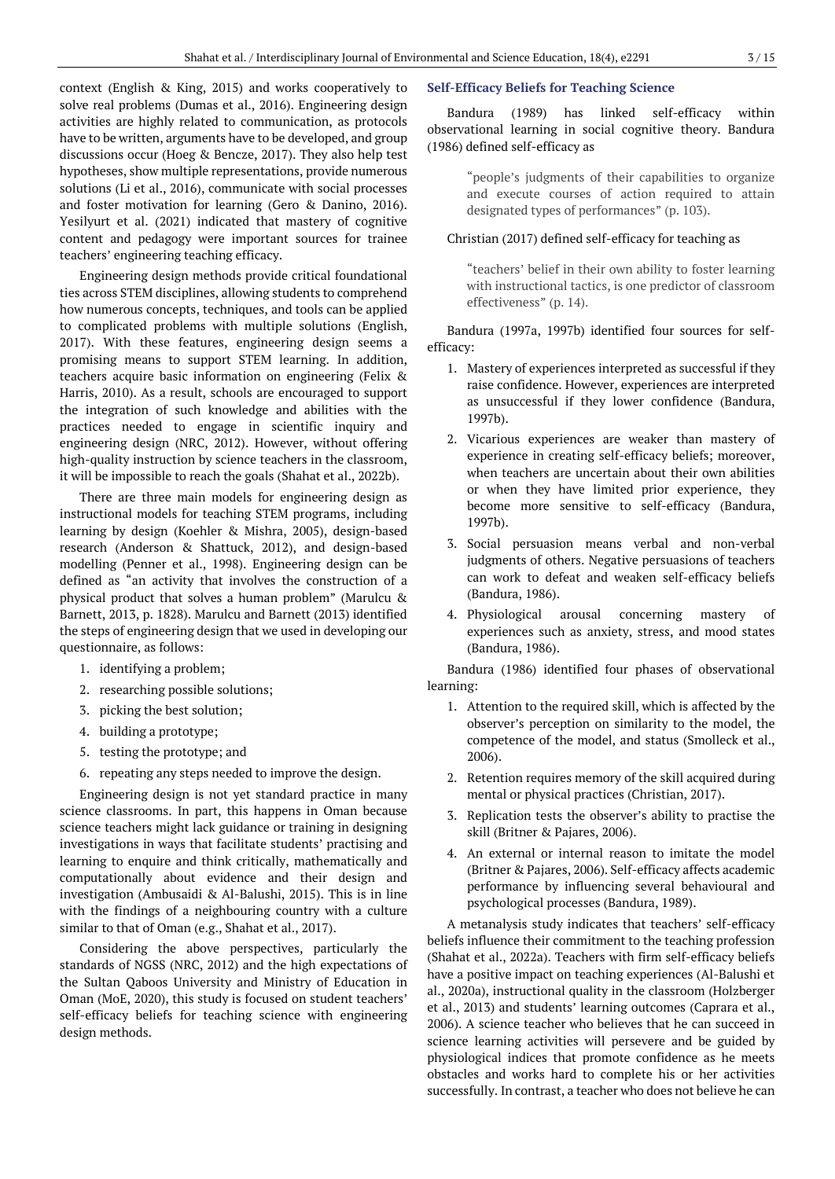context (English & King, 2015) and works cooperatively to solve real problems (Dumas et al., 2016). Engineering design activities are highly related to communication, as protocols have to be written, arguments have to be developed, and group discussions occur (Hoeg & Bencze, 2017). They also help test hypotheses, show multiple representations, provide numerous solutions (Li et al., 2016), communicate with social processes and foster motivation for learning (Gero & Danino, 2016). Yesilyurt et al. (2021) indicated that mastery of cognitive content and pedagogy were important sources for trainee teachers' engineering teaching efficacy.

Engineering design methods provide critical foundational ties across STEM disciplines, allowing students to comprehend how numerous concepts, techniques, and tools can be applied to complicated problems with multiple solutions (English, 2017). With these features, engineering design seems a promising means to support STEM learning. In addition, teachers acquire basic information on engineering (Felix & Harris, 2010). As a result, schools are encouraged to support the integration of such knowledge and abilities with the practices needed to engage in scientific inquiry and engineering design (NRC, 2012). However, without offering high-quality instruction by science teachers in the classroom, it will be impossible to reach the goals (Shahat et al., 2022b).

There are three main models for engineering design as instructional models for teaching STEM programs, including learning by design (Koehler & Mishra, 2005), design-based research (Anderson & Shattuck, 2012), and design-based modelling (Penner et al., 1998). Engineering design can be defined as "an activity that involves the construction of a physical product that solves a human problem" (Marulcu & Barnett, 2013, p. 1828). Marulcu and Barnett (2013) identified the steps of engineering design that we used in developing our questionnaire, as follows:

- 1. identifying a problem;
- 2. researching possible solutions;
- 3. picking the best solution;
- 4. building a prototype;
- 5. testing the prototype; and
- 6. repeating any steps needed to improve the design.

Engineering design is not yet standard practice in many science classrooms. In part, this happens in Oman because science teachers might lack guidance or training in designing investigations in ways that facilitate students' practising and learning to enquire and think critically, mathematically and computationally about evidence and their design and investigation (Ambusaidi & Al-Balushi, 2015). This is in line with the findings of a neighbouring country with a culture similar to that of Oman (e.g., Shahat et al., 2017).

Considering the above perspectives, particularly the standards of NGSS (NRC, 2012) and the high expectations of the Sultan Qaboos University and Ministry of Education in Oman (MoE, 2020), this study is focused on student teachers' self-efficacy beliefs for teaching science with engineering design methods.

#### **Self-Efficacy Beliefs for Teaching Science**

Bandura (1989) has linked self-efficacy within observational learning in social cognitive theory. Bandura (1986) defined self-efficacy as

> "people's judgments of their capabilities to organize and execute courses of action required to attain designated types of performances" (p. 103).

#### Christian (2017) defined self-efficacy for teaching as

"teachers' belief in their own ability to foster learning with instructional tactics, is one predictor of classroom effectiveness" (p. 14).

Bandura (1997a, 1997b) identified four sources for selfefficacy:

- 1. Mastery of experiences interpreted as successful if they raise confidence. However, experiences are interpreted as unsuccessful if they lower confidence (Bandura, 1997b).
- 2. Vicarious experiences are weaker than mastery of experience in creating self-efficacy beliefs; moreover, when teachers are uncertain about their own abilities or when they have limited prior experience, they become more sensitive to self-efficacy (Bandura, 1997b).
- 3. Social persuasion means verbal and non-verbal judgments of others. Negative persuasions of teachers can work to defeat and weaken self-efficacy beliefs (Bandura, 1986).
- 4. Physiological arousal concerning mastery of experiences such as anxiety, stress, and mood states (Bandura, 1986).

Bandura (1986) identified four phases of observational learning:

- 1. Attention to the required skill, which is affected by the observer's perception on similarity to the model, the competence of the model, and status (Smolleck et al., 2006).
- 2. Retention requires memory of the skill acquired during mental or physical practices (Christian, 2017).
- 3. Replication tests the observer's ability to practise the skill (Britner & Pajares, 2006).
- 4. An external or internal reason to imitate the model (Britner & Pajares, 2006). Self-efficacy affects academic performance by influencing several behavioural and psychological processes (Bandura, 1989).

A metanalysis study indicates that teachers' self-efficacy beliefs influence their commitment to the teaching profession (Shahat et al., 2022a). Teachers with firm self-efficacy beliefs have a positive impact on teaching experiences (Al-Balushi et al., 2020a), instructional quality in the classroom (Holzberger et al., 2013) and students' learning outcomes (Caprara et al., 2006). A science teacher who believes that he can succeed in science learning activities will persevere and be guided by physiological indices that promote confidence as he meets obstacles and works hard to complete his or her activities successfully. In contrast, a teacher who does not believe he can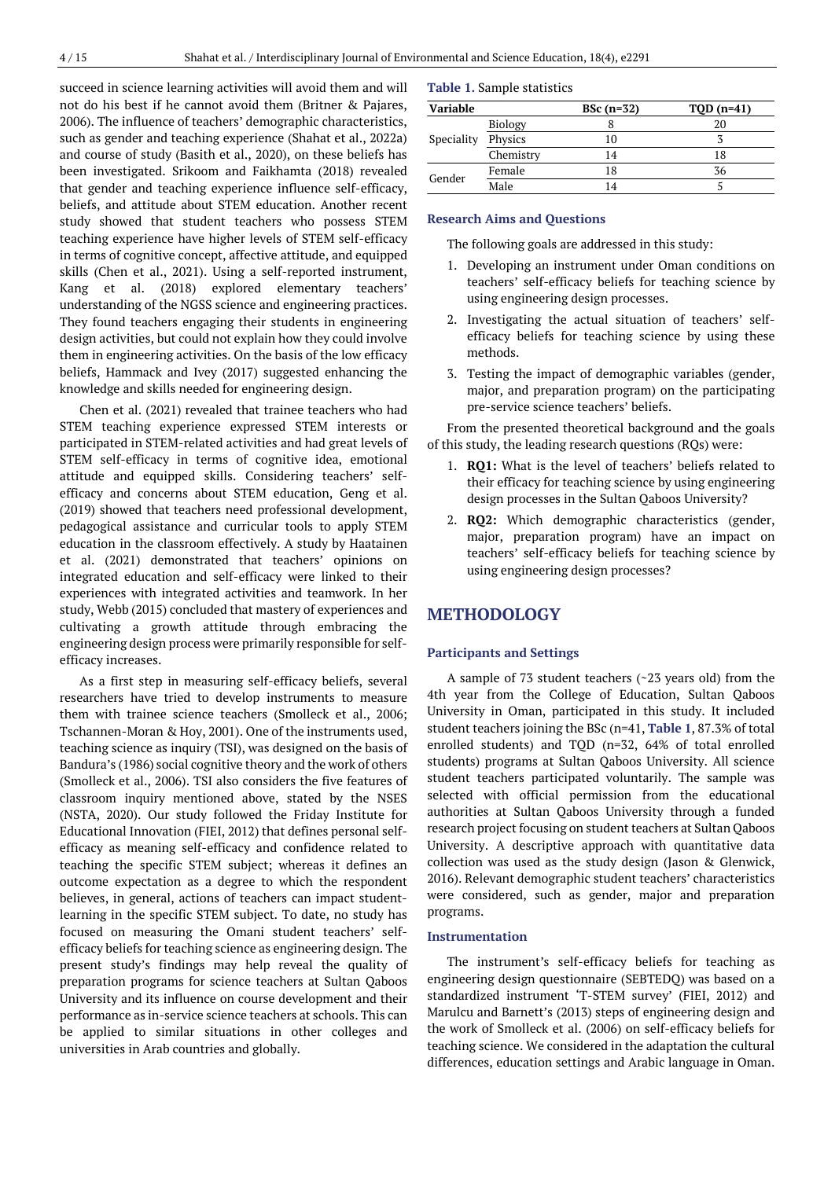succeed in science learning activities will avoid them and will not do his best if he cannot avoid them (Britner & Pajares, 2006). The influence of teachers' demographic characteristics, such as gender and teaching experience (Shahat et al., 2022a) and course of study (Basith et al., 2020), on these beliefs has been investigated. Srikoom and Faikhamta (2018) revealed that gender and teaching experience influence self-efficacy, beliefs, and attitude about STEM education. Another recent study showed that student teachers who possess STEM teaching experience have higher levels of STEM self-efficacy in terms of cognitive concept, affective attitude, and equipped skills (Chen et al., 2021). Using a self-reported instrument, Kang et al. (2018) explored elementary teachers' understanding of the NGSS science and engineering practices. They found teachers engaging their students in engineering design activities, but could not explain how they could involve them in engineering activities. On the basis of the low efficacy beliefs, Hammack and Ivey (2017) suggested enhancing the knowledge and skills needed for engineering design.

Chen et al. (2021) revealed that trainee teachers who had STEM teaching experience expressed STEM interests or participated in STEM-related activities and had great levels of STEM self-efficacy in terms of cognitive idea, emotional attitude and equipped skills. Considering teachers' selfefficacy and concerns about STEM education, Geng et al. (2019) showed that teachers need professional development, pedagogical assistance and curricular tools to apply STEM education in the classroom effectively. A study by Haatainen et al. (2021) demonstrated that teachers' opinions on integrated education and self-efficacy were linked to their experiences with integrated activities and teamwork. In her study, Webb (2015) concluded that mastery of experiences and cultivating a growth attitude through embracing the engineering design process were primarily responsible for selfefficacy increases.

As a first step in measuring self-efficacy beliefs, several researchers have tried to develop instruments to measure them with trainee science teachers (Smolleck et al., 2006; Tschannen-Moran & Hoy, 2001). One of the instruments used, teaching science as inquiry (TSI), was designed on the basis of Bandura's (1986) social cognitive theory and the work of others (Smolleck et al., 2006). TSI also considers the five features of classroom inquiry mentioned above, stated by the NSES (NSTA, 2020). Our study followed the Friday Institute for Educational Innovation (FIEI, 2012) that defines personal selfefficacy as meaning self-efficacy and confidence related to teaching the specific STEM subject; whereas it defines an outcome expectation as a degree to which the respondent believes, in general, actions of teachers can impact studentlearning in the specific STEM subject. To date, no study has focused on measuring the Omani student teachers' selfefficacy beliefs for teaching science as engineering design. The present study's findings may help reveal the quality of preparation programs for science teachers at Sultan Qaboos University and its influence on course development and their performance as in-service science teachers at schools. This can be applied to similar situations in other colleges and universities in Arab countries and globally.

#### **Table 1.** Sample statistics

| <b>Variable</b> |                | BSc $(n=32)$   | $TOD(n=41)$ |
|-----------------|----------------|----------------|-------------|
| Speciality      | <b>Biology</b> |                | 20          |
|                 | Physics        | 10             |             |
|                 | Chemistry      | 14             | 18          |
| Gender          | Female         | 18             | 36          |
|                 | Male           | $\overline{A}$ |             |

#### **Research Aims and Questions**

The following goals are addressed in this study:

- 1. Developing an instrument under Oman conditions on teachers' self-efficacy beliefs for teaching science by using engineering design processes.
- 2. Investigating the actual situation of teachers' selfefficacy beliefs for teaching science by using these methods.
- 3. Testing the impact of demographic variables (gender, major, and preparation program) on the participating pre-service science teachers' beliefs.

From the presented theoretical background and the goals of this study, the leading research questions (RQs) were:

- 1. **RQ1:** What is the level of teachers' beliefs related to their efficacy for teaching science by using engineering design processes in the Sultan Qaboos University?
- 2. **RQ2:** Which demographic characteristics (gender, major, preparation program) have an impact on teachers' self-efficacy beliefs for teaching science by using engineering design processes?

# **METHODOLOGY**

#### **Participants and Settings**

A sample of 73 student teachers (~23 years old) from the 4th year from the College of Education, Sultan Qaboos University in Oman, participated in this study. It included student teachers joining the BSc (n=41, **Table 1**, 87.3% of total enrolled students) and TQD (n=32, 64% of total enrolled students) programs at Sultan Qaboos University. All science student teachers participated voluntarily. The sample was selected with official permission from the educational authorities at Sultan Qaboos University through a funded research project focusing on student teachers at Sultan Qaboos University. A descriptive approach with quantitative data collection was used as the study design (Jason & Glenwick, 2016). Relevant demographic student teachers' characteristics were considered, such as gender, major and preparation programs.

#### **Instrumentation**

The instrument's self-efficacy beliefs for teaching as engineering design questionnaire (SEBTEDQ) was based on a standardized instrument 'T-STEM survey' (FIEI, 2012) and Marulcu and Barnett's (2013) steps of engineering design and the work of Smolleck et al. (2006) on self-efficacy beliefs for teaching science. We considered in the adaptation the cultural differences, education settings and Arabic language in Oman.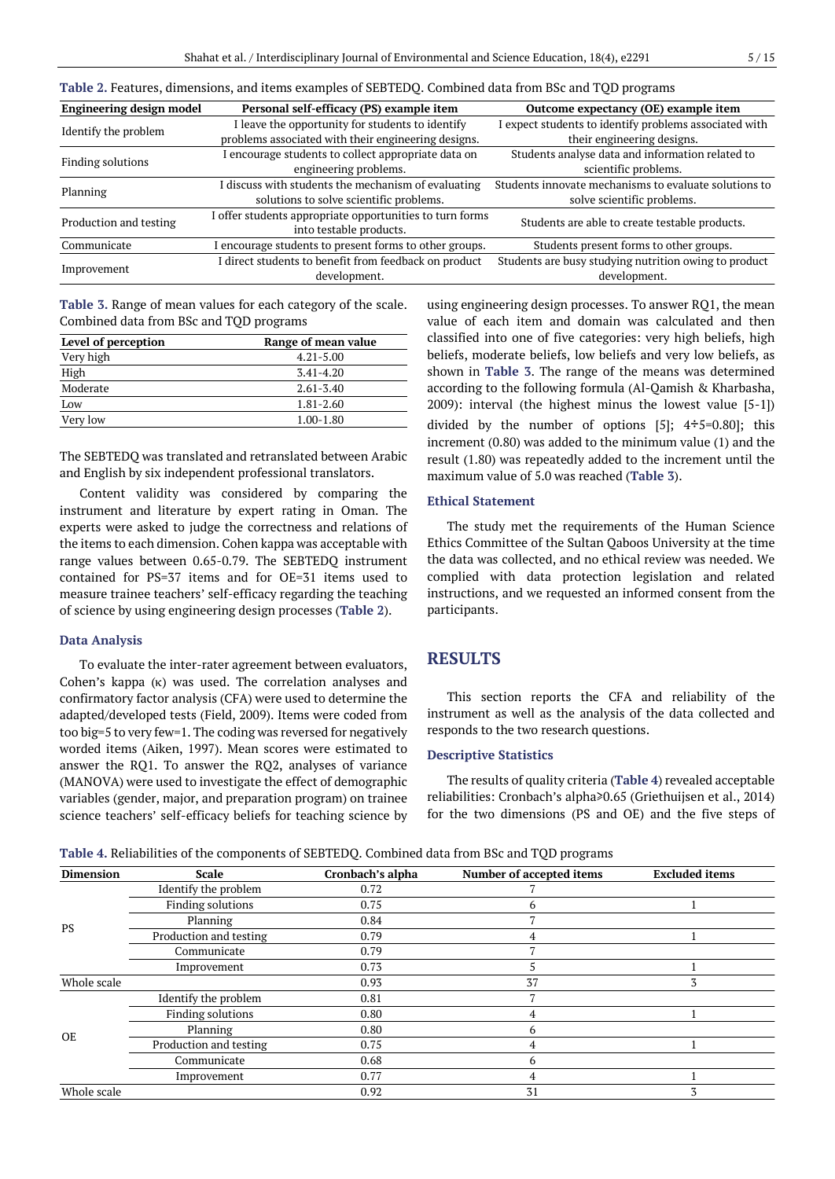| <b>Engineering design model</b> | Personal self-efficacy (PS) example item                                            | Outcome expectancy (OE) example item                  |  |  |  |  |  |  |  |
|---------------------------------|-------------------------------------------------------------------------------------|-------------------------------------------------------|--|--|--|--|--|--|--|
|                                 | I leave the opportunity for students to identify                                    | expect students to identify problems associated with  |  |  |  |  |  |  |  |
| Identify the problem            | problems associated with their engineering designs.                                 | their engineering designs.                            |  |  |  |  |  |  |  |
| Finding solutions               | encourage students to collect appropriate data on                                   | Students analyse data and information related to      |  |  |  |  |  |  |  |
|                                 | engineering problems.                                                               | scientific problems.                                  |  |  |  |  |  |  |  |
| Planning                        | I discuss with students the mechanism of evaluating                                 | Students innovate mechanisms to evaluate solutions to |  |  |  |  |  |  |  |
|                                 | solutions to solve scientific problems.                                             | solve scientific problems.                            |  |  |  |  |  |  |  |
| Production and testing          | I offer students appropriate opportunities to turn forms<br>into testable products. | Students are able to create testable products.        |  |  |  |  |  |  |  |
| Communicate                     | I encourage students to present forms to other groups.                              | Students present forms to other groups.               |  |  |  |  |  |  |  |
|                                 | I direct students to benefit from feedback on product                               | Students are busy studying nutrition owing to product |  |  |  |  |  |  |  |
| Improvement                     | development.                                                                        | development.                                          |  |  |  |  |  |  |  |

**Table 2.** Features, dimensions, and items examples of SEBTEDQ. Combined data from BSc and TQD programs

**Table 3.** Range of mean values for each category of the scale. Combined data from BSc and TQD programs

| Level of perception | Range of mean value |
|---------------------|---------------------|
| Very high           | $4.21 - 5.00$       |
| High                | $3.41 - 4.20$       |
| Moderate            | $2.61 - 3.40$       |
| Low                 | 1.81-2.60           |
| Very low            | $1.00 - 1.80$       |

The SEBTEDQ was translated and retranslated between Arabic and English by six independent professional translators.

Content validity was considered by comparing the instrument and literature by expert rating in Oman. The experts were asked to judge the correctness and relations of the items to each dimension. Cohen kappa was acceptable with range values between 0.65-0.79. The SEBTEDQ instrument contained for PS=37 items and for OE=31 items used to measure trainee teachers' self-efficacy regarding the teaching of science by using engineering design processes (**Table 2**).

#### **Data Analysis**

To evaluate the inter-rater agreement between evaluators, Cohen's kappa (κ) was used. The correlation analyses and confirmatory factor analysis (CFA) were used to determine the adapted/developed tests (Field, 2009). Items were coded from too big=5 to very few=1. The coding was reversed for negatively worded items (Aiken, 1997). Mean scores were estimated to answer the RQ1. To answer the RQ2, analyses of variance (MANOVA) were used to investigate the effect of demographic variables (gender, major, and preparation program) on trainee science teachers' self-efficacy beliefs for teaching science by using engineering design processes. To answer RQ1, the mean value of each item and domain was calculated and then classified into one of five categories: very high beliefs, high beliefs, moderate beliefs, low beliefs and very low beliefs, as shown in **Table 3**. The range of the means was determined according to the following formula (Al-Qamish & Kharbasha, 2009): interval (the highest minus the lowest value [5-1]) divided by the number of options [5]; 4*÷*5=0.80]; this increment (0.80) was added to the minimum value (1) and the result (1.80) was repeatedly added to the increment until the maximum value of 5.0 was reached (**Table 3**).

#### **Ethical Statement**

The study met the requirements of the Human Science Ethics Committee of the Sultan Qaboos University at the time the data was collected, and no ethical review was needed. We complied with data protection legislation and related instructions, and we requested an informed consent from the participants.

# **RESULTS**

This section reports the CFA and reliability of the instrument as well as the analysis of the data collected and responds to the two research questions.

#### **Descriptive Statistics**

The results of quality criteria (**Table 4**) revealed acceptable reliabilities: Cronbach's alpha≥0.65 (Griethuijsen et al., 2014) for the two dimensions (PS and OE) and the five steps of

| Table 4. Reliabilities of the components of SEBTEDQ. Combined data from BSc and TQD programs |  |  |
|----------------------------------------------------------------------------------------------|--|--|
|                                                                                              |  |  |

| <b>Dimension</b> | <b>Scale</b>             | Cronbach's alpha | <b>Number of accepted items</b> | <b>Excluded items</b> |
|------------------|--------------------------|------------------|---------------------------------|-----------------------|
|                  | Identify the problem     | 0.72             |                                 |                       |
|                  | <b>Finding solutions</b> | 0.75             | n                               |                       |
|                  | Planning                 | 0.84             |                                 |                       |
| PS               | Production and testing   | 0.79             |                                 |                       |
|                  | Communicate              | 0.79             |                                 |                       |
|                  | Improvement              | 0.73             |                                 |                       |
| Whole scale      |                          | 0.93             | 37                              |                       |
|                  | Identify the problem     | 0.81             |                                 |                       |
|                  | <b>Finding solutions</b> | 0.80             |                                 |                       |
| <b>OE</b>        | Planning                 | 0.80             | 6                               |                       |
|                  | Production and testing   | 0.75             | 4                               |                       |
|                  | Communicate              | 0.68             | 6                               |                       |
|                  | Improvement              | 0.77             | 4                               |                       |
| Whole scale      |                          | 0.92             | 31                              | 3                     |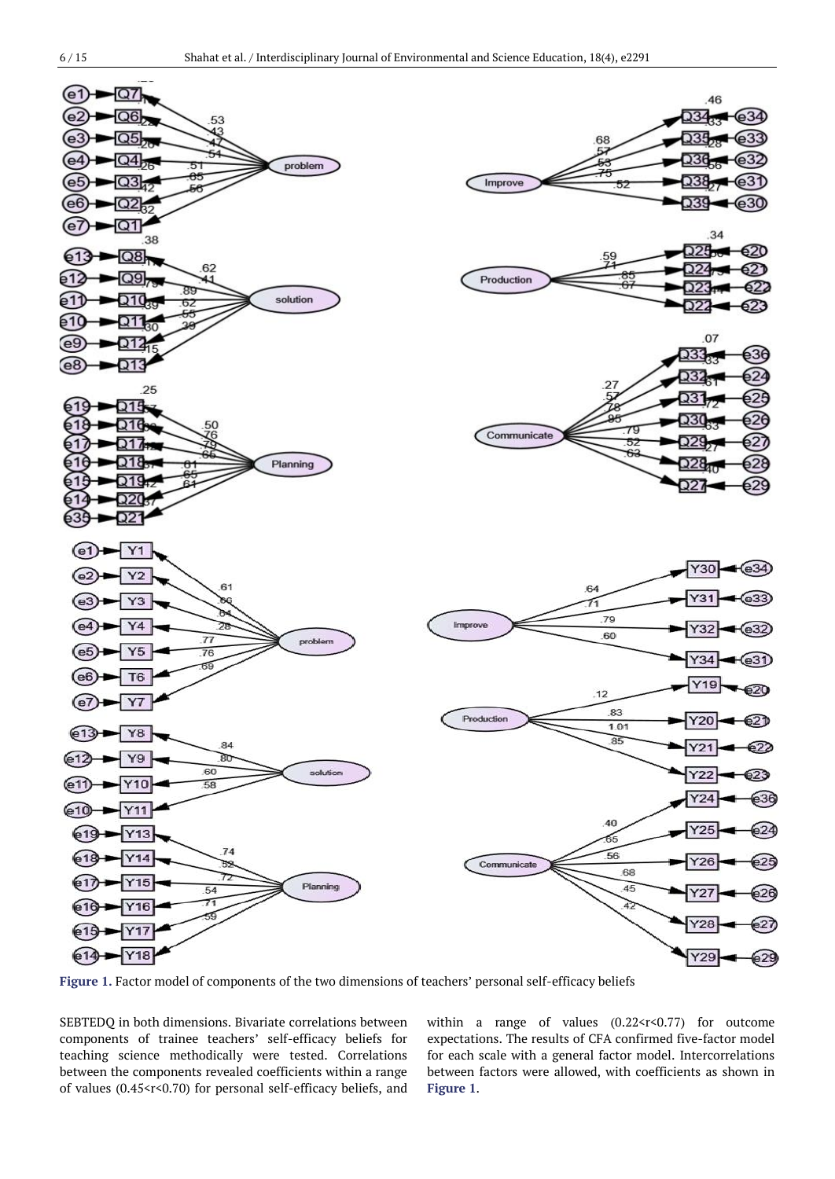

**Figure 1.** Factor model of components of the two dimensions of teachers' personal self-efficacy beliefs

SEBTEDQ in both dimensions. Bivariate correlations between components of trainee teachers' self-efficacy beliefs for teaching science methodically were tested. Correlations between the components revealed coefficients within a range of values  $(0.45 < r < 0.70)$  for personal self-efficacy beliefs, and

within a range of values (0.22<r<0.77) for outcome expectations. The results of CFA confirmed five-factor model for each scale with a general factor model. Intercorrelations between factors were allowed, with coefficients as shown in **Figure 1**.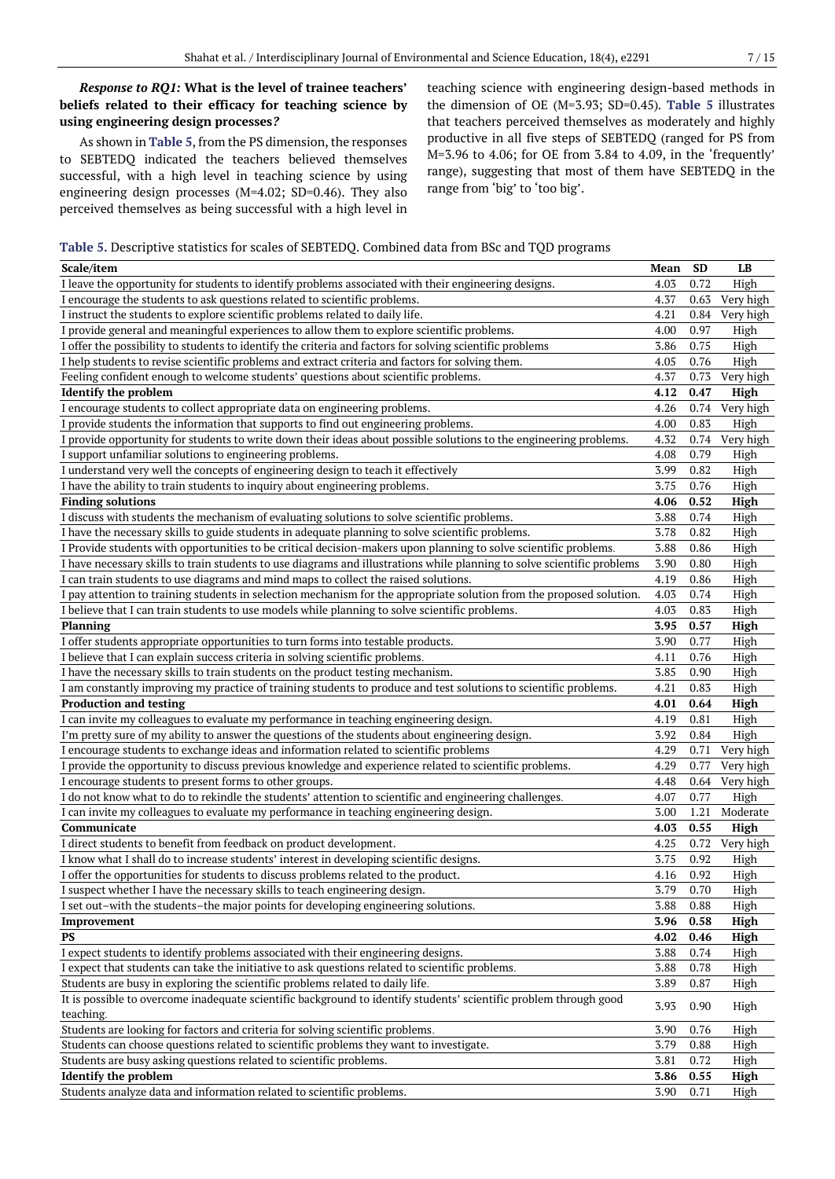# *Response to RQ1:* **What is the level of trainee teachers' beliefs related to their efficacy for teaching science by using engineering design processes***?*

As shown in **Table 5**, from the PS dimension, the responses to SEBTEDQ indicated the teachers believed themselves successful, with a high level in teaching science by using engineering design processes (M=4.02; SD=0.46). They also perceived themselves as being successful with a high level in teaching science with engineering design-based methods in the dimension of OE (M=3.93; SD=0.45)*.* **Table 5** illustrates that teachers perceived themselves as moderately and highly productive in all five steps of SEBTEDQ (ranged for PS from M=3.96 to 4.06; for OE from 3.84 to 4.09, in the 'frequently' range), suggesting that most of them have SEBTEDQ in the range from 'big' to 'too big'.

#### **Table 5.** Descriptive statistics for scales of SEBTEDQ. Combined data from BSc and TQD programs

| Scale/item                                                                                                                                                                                         | Mean         | <b>SD</b> | LB        |
|----------------------------------------------------------------------------------------------------------------------------------------------------------------------------------------------------|--------------|-----------|-----------|
| I leave the opportunity for students to identify problems associated with their engineering designs.                                                                                               | 4.03         | 0.72      | High      |
| I encourage the students to ask questions related to scientific problems.                                                                                                                          | 4.37         | 0.63      | Very high |
| I instruct the students to explore scientific problems related to daily life.                                                                                                                      | 4.21         | 0.84      | Very high |
| I provide general and meaningful experiences to allow them to explore scientific problems.                                                                                                         | 4.00         | 0.97      | High      |
| I offer the possibility to students to identify the criteria and factors for solving scientific problems                                                                                           | 3.86         | 0.75      | High      |
| I help students to revise scientific problems and extract criteria and factors for solving them.                                                                                                   | 4.05         | 0.76      | High      |
| Feeling confident enough to welcome students' questions about scientific problems.                                                                                                                 | 4.37         | 0.73      | Very high |
| <b>Identify the problem</b>                                                                                                                                                                        | 4.12         | 0.47      | High      |
| I encourage students to collect appropriate data on engineering problems.                                                                                                                          | 4.26         | 0.74      | Very high |
| I provide students the information that supports to find out engineering problems.                                                                                                                 | 4.00         | 0.83      | High      |
| I provide opportunity for students to write down their ideas about possible solutions to the engineering problems.                                                                                 | 4.32         | 0.74      | Very high |
| I support unfamiliar solutions to engineering problems.                                                                                                                                            | 4.08         | 0.79      | High      |
| I understand very well the concepts of engineering design to teach it effectively                                                                                                                  | 3.99         | 0.82      | High      |
| I have the ability to train students to inquiry about engineering problems.                                                                                                                        | 3.75         | 0.76      | High      |
| <b>Finding solutions</b>                                                                                                                                                                           | 4.06         | 0.52      | High      |
| I discuss with students the mechanism of evaluating solutions to solve scientific problems.                                                                                                        | 3.88         | 0.74      | High      |
| I have the necessary skills to guide students in adequate planning to solve scientific problems.                                                                                                   | 3.78         | 0.82      | High      |
| I Provide students with opportunities to be critical decision-makers upon planning to solve scientific problems.                                                                                   | 3.88         | 0.86      | High      |
| I have necessary skills to train students to use diagrams and illustrations while planning to solve scientific problems                                                                            | 3.90         | 0.80      | High      |
| I can train students to use diagrams and mind maps to collect the raised solutions.                                                                                                                | 4.19         | 0.86      | High      |
| I pay attention to training students in selection mechanism for the appropriate solution from the proposed solution.                                                                               | 4.03         | 0.74      | High      |
| I believe that I can train students to use models while planning to solve scientific problems.                                                                                                     | 4.03         | 0.83      | High      |
| <b>Planning</b>                                                                                                                                                                                    | 3.95         | 0.57      | High      |
| I offer students appropriate opportunities to turn forms into testable products.                                                                                                                   | 3.90         | 0.77      | High      |
| I believe that I can explain success criteria in solving scientific problems.                                                                                                                      | 4.11         | 0.76      | High      |
| I have the necessary skills to train students on the product testing mechanism.                                                                                                                    | 3.85         | 0.90      | High      |
| I am constantly improving my practice of training students to produce and test solutions to scientific problems.                                                                                   | 4.21         | 0.83      | High      |
| <b>Production and testing</b>                                                                                                                                                                      | 4.01         | 0.64      | High      |
| I can invite my colleagues to evaluate my performance in teaching engineering design.                                                                                                              | 4.19         | 0.81      | High      |
| I'm pretty sure of my ability to answer the questions of the students about engineering design.                                                                                                    | 3.92         | 0.84      | High      |
| I encourage students to exchange ideas and information related to scientific problems                                                                                                              | 4.29         | 0.71      | Very high |
| I provide the opportunity to discuss previous knowledge and experience related to scientific problems.                                                                                             | 4.29         | 0.77      | Very high |
| I encourage students to present forms to other groups.                                                                                                                                             | 4.48         | 0.64      | Very high |
| I do not know what to do to rekindle the students' attention to scientific and engineering challenges.                                                                                             | 4.07         | 0.77      | High      |
| I can invite my colleagues to evaluate my performance in teaching engineering design.                                                                                                              | 3.00         | 1.21      | Moderate  |
| Communicate                                                                                                                                                                                        | 4.03         | 0.55      | High      |
| I direct students to benefit from feedback on product development.                                                                                                                                 | 4.25         | 0.72      | Very high |
| I know what I shall do to increase students' interest in developing scientific designs.                                                                                                            | 3.75         | 0.92      | High      |
| I offer the opportunities for students to discuss problems related to the product.                                                                                                                 | 4.16         | 0.92      | High      |
| I suspect whether I have the necessary skills to teach engineering design.                                                                                                                         | 3.79         | 0.70      | High      |
| I set out-with the students-the major points for developing engineering solutions.                                                                                                                 | 3.88         | 0.88      | High      |
| Improvement                                                                                                                                                                                        | 3.96         | 0.58      | High      |
| PS<br>I expect students to identify problems associated with their engineering designs.                                                                                                            | 4.02<br>3.88 | 0.46      | High      |
|                                                                                                                                                                                                    |              | 0.74      | High      |
| I expect that students can take the initiative to ask questions related to scientific problems.                                                                                                    | 3.88         | 0.78      | High      |
| Students are busy in exploring the scientific problems related to daily life.<br>It is possible to overcome inadequate scientific background to identify students' scientific problem through good | 3.89         | 0.87      | High      |
| teaching.                                                                                                                                                                                          | 3.93         | 0.90      | High      |
| Students are looking for factors and criteria for solving scientific problems.                                                                                                                     | 3.90         | 0.76      | High      |
| Students can choose questions related to scientific problems they want to investigate.                                                                                                             | 3.79         | 0.88      | High      |
| Students are busy asking questions related to scientific problems.                                                                                                                                 | 3.81         | 0.72      | High      |
| <b>Identify the problem</b>                                                                                                                                                                        | 3.86         | 0.55      | High      |
| Students analyze data and information related to scientific problems.                                                                                                                              | 3.90         | 0.71      | High      |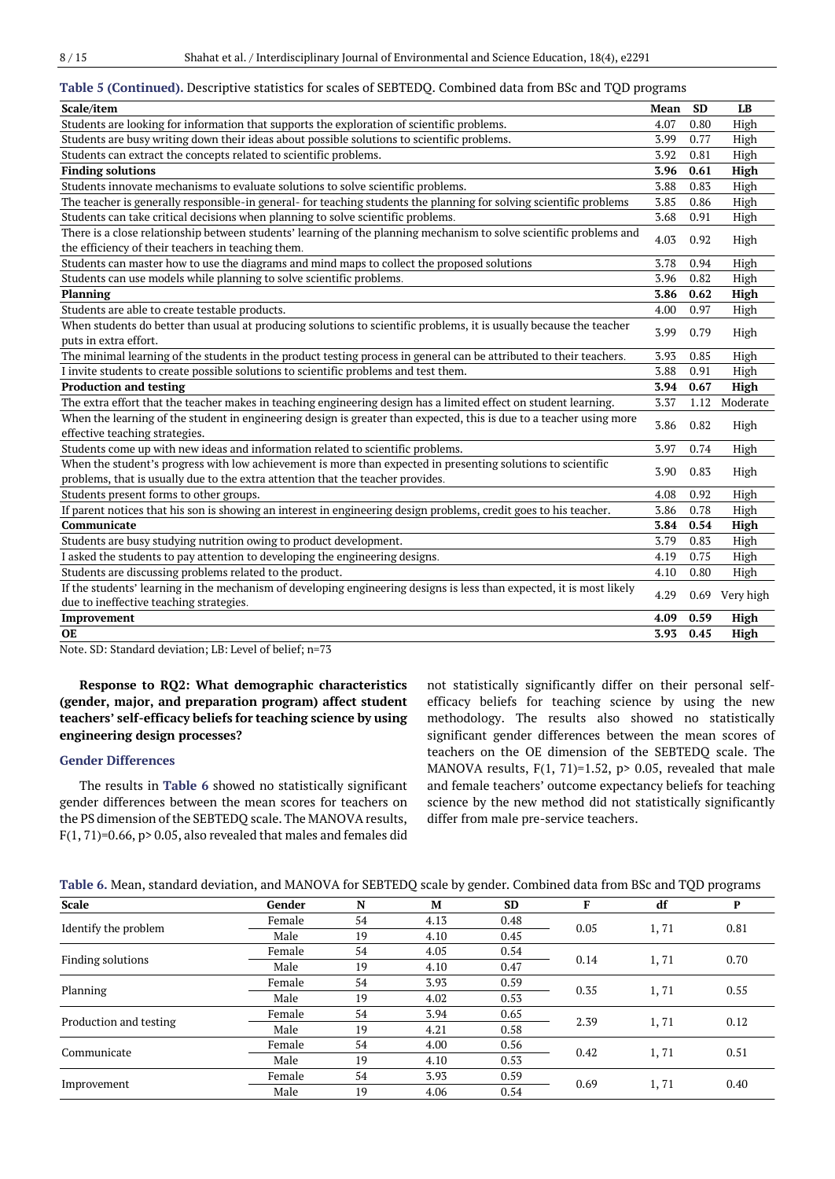|--|--|--|

### **Table 5 (Continued).** Descriptive statistics for scales of SEBTEDQ. Combined data from BSc and TQD programs

| Scale/item                                                                                                                                                                                      | Mean | <b>SD</b> | LB             |
|-------------------------------------------------------------------------------------------------------------------------------------------------------------------------------------------------|------|-----------|----------------|
| Students are looking for information that supports the exploration of scientific problems.                                                                                                      | 4.07 | 0.80      | High           |
| Students are busy writing down their ideas about possible solutions to scientific problems.                                                                                                     | 3.99 | 0.77      | High           |
| Students can extract the concepts related to scientific problems.                                                                                                                               | 3.92 | 0.81      | High           |
| <b>Finding solutions</b>                                                                                                                                                                        | 3.96 | 0.61      | High           |
| Students innovate mechanisms to evaluate solutions to solve scientific problems.                                                                                                                | 3.88 | 0.83      | High           |
| The teacher is generally responsible-in general- for teaching students the planning for solving scientific problems                                                                             | 3.85 | 0.86      | High           |
| Students can take critical decisions when planning to solve scientific problems.                                                                                                                | 3.68 | 0.91      | High           |
| There is a close relationship between students' learning of the planning mechanism to solve scientific problems and<br>the efficiency of their teachers in teaching them.                       | 4.03 | 0.92      | High           |
| Students can master how to use the diagrams and mind maps to collect the proposed solutions                                                                                                     | 3.78 | 0.94      | High           |
| Students can use models while planning to solve scientific problems.                                                                                                                            | 3.96 | 0.82      | High           |
| Planning                                                                                                                                                                                        | 3.86 | 0.62      | High           |
| Students are able to create testable products.                                                                                                                                                  | 4.00 | 0.97      | High           |
| When students do better than usual at producing solutions to scientific problems, it is usually because the teacher<br>puts in extra effort.                                                    | 3.99 | 0.79      | High           |
| The minimal learning of the students in the product testing process in general can be attributed to their teachers.                                                                             | 3.93 | 0.85      | High           |
| I invite students to create possible solutions to scientific problems and test them.                                                                                                            | 3.88 | 0.91      | High           |
| <b>Production and testing</b>                                                                                                                                                                   | 3.94 | 0.67      | High           |
| The extra effort that the teacher makes in teaching engineering design has a limited effect on student learning.                                                                                | 3.37 | 1.12      | Moderate       |
| When the learning of the student in engineering design is greater than expected, this is due to a teacher using more<br>effective teaching strategies.                                          | 3.86 | 0.82      | High           |
| Students come up with new ideas and information related to scientific problems.                                                                                                                 | 3.97 | 0.74      | High           |
| When the student's progress with low achievement is more than expected in presenting solutions to scientific<br>problems, that is usually due to the extra attention that the teacher provides. | 3.90 | 0.83      | High           |
| Students present forms to other groups.                                                                                                                                                         | 4.08 | 0.92      | High           |
| If parent notices that his son is showing an interest in engineering design problems, credit goes to his teacher.                                                                               | 3.86 | 0.78      | High           |
| Communicate                                                                                                                                                                                     | 3.84 | 0.54      | High           |
| Students are busy studying nutrition owing to product development.                                                                                                                              | 3.79 | 0.83      | High           |
| I asked the students to pay attention to developing the engineering designs.                                                                                                                    | 4.19 | 0.75      | High           |
| Students are discussing problems related to the product.                                                                                                                                        | 4.10 | 0.80      | High           |
| If the students' learning in the mechanism of developing engineering designs is less than expected, it is most likely<br>due to ineffective teaching strategies.                                | 4.29 |           | 0.69 Very high |
| Improvement                                                                                                                                                                                     | 4.09 | 0.59      | High           |
| <b>OE</b>                                                                                                                                                                                       | 3.93 | 0.45      | High           |

Note. SD: Standard deviation; LB: Level of belief; n=73

**Response to RQ2: What demographic characteristics (gender, major, and preparation program) affect student teachers' self-efficacy beliefs for teaching science by using engineering design processes?**

## **Gender Differences**

The results in **Table 6** showed no statistically significant gender differences between the mean scores for teachers on the PS dimension of the SEBTEDQ scale. The MANOVA results,  $F(1, 71)=0.66$ ,  $p > 0.05$ , also revealed that males and females did not statistically significantly differ on their personal selfefficacy beliefs for teaching science by using the new methodology. The results also showed no statistically significant gender differences between the mean scores of teachers on the OE dimension of the SEBTEDQ scale. The MANOVA results,  $F(1, 71)=1.52$ ,  $p > 0.05$ , revealed that male and female teachers' outcome expectancy beliefs for teaching science by the new method did not statistically significantly differ from male pre-service teachers.

|  |  |  | Table 6. Mean, standard deviation, and MANOVA for SEBTEDQ scale by gender. Combined data from BSc and TQD programs |  |
|--|--|--|--------------------------------------------------------------------------------------------------------------------|--|
|  |  |  |                                                                                                                    |  |

| <b>Scale</b>           | Gender | N  | M    | <b>SD</b> | F    | df   | P    |
|------------------------|--------|----|------|-----------|------|------|------|
|                        | Female | 54 | 4.13 | 0.48      |      |      |      |
| Identify the problem   | Male   | 19 | 4.10 | 0.45      | 0.05 | 1,71 | 0.81 |
|                        | Female | 54 | 4.05 | 0.54      | 0.14 |      | 0.70 |
| Finding solutions      | Male   | 19 | 4.10 | 0.47      |      | 1,71 |      |
|                        | Female | 54 | 3.93 | 0.59      | 0.35 | 1,71 | 0.55 |
| Planning               | Male   | 19 | 4.02 | 0.53      |      |      |      |
| Production and testing | Female | 54 | 3.94 | 0.65      | 2.39 | 1,71 | 0.12 |
|                        | Male   | 19 | 4.21 | 0.58      |      |      |      |
|                        | Female | 54 | 4.00 | 0.56      |      |      |      |
| Communicate            | Male   | 19 | 4.10 | 0.53      | 0.42 | 1,71 | 0.51 |
|                        | Female | 54 | 3.93 | 0.59      | 0.69 |      | 0.40 |
| Improvement            | Male   | 19 | 4.06 | 0.54      |      | 1,71 |      |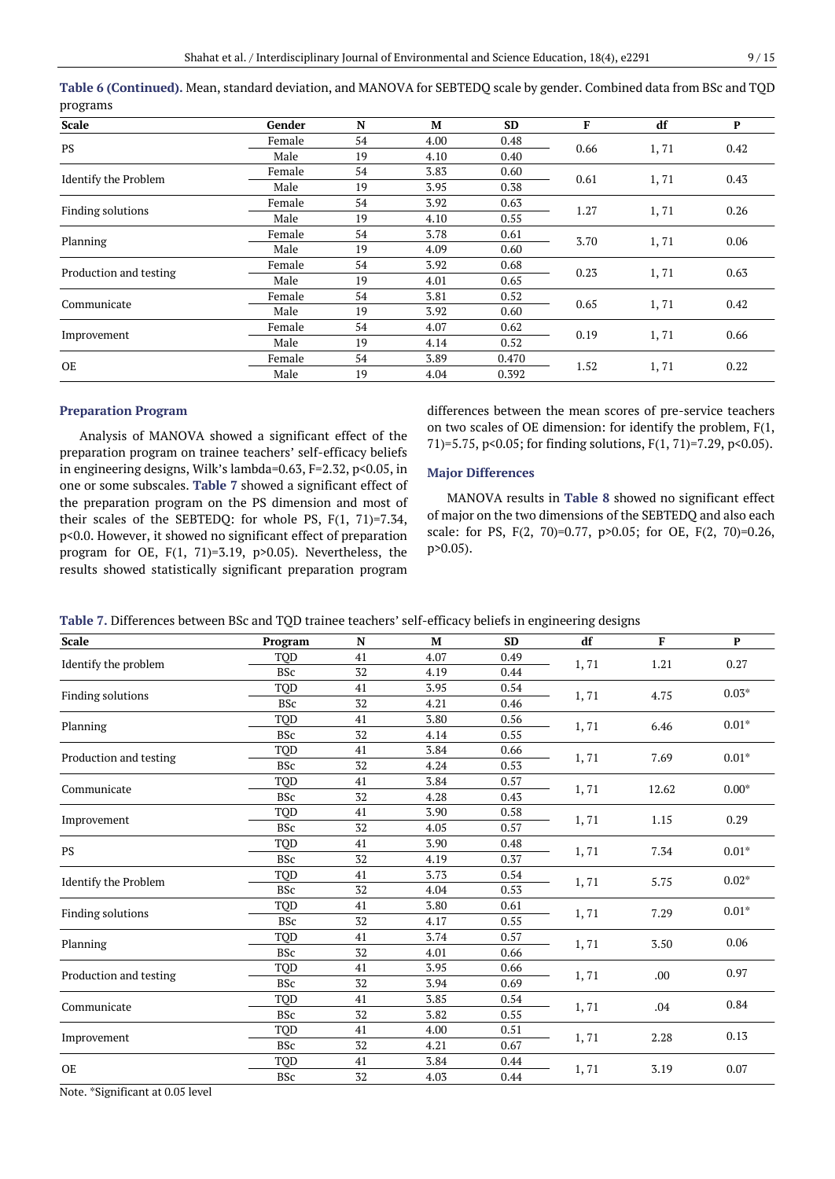| <b>Scale</b>                | Gender | N  | M    | <b>SD</b> | F    | df   | P    |
|-----------------------------|--------|----|------|-----------|------|------|------|
| <b>PS</b>                   | Female | 54 | 4.00 | 0.48      |      |      |      |
|                             | Male   | 19 | 4.10 | 0.40      | 0.66 | 1,71 | 0.42 |
| <b>Identify the Problem</b> | Female | 54 | 3.83 | 0.60      |      |      | 0.43 |
|                             | Male   | 19 | 3.95 | 0.38      | 0.61 | 1,71 |      |
| Finding solutions           | Female | 54 | 3.92 | 0.63      | 1.27 |      | 0.26 |
|                             | Male   | 19 | 4.10 | 0.55      |      | 1,71 |      |
|                             | Female | 54 | 3.78 | 0.61      | 3.70 | 1,71 | 0.06 |
| Planning                    | Male   | 19 | 4.09 | 0.60      |      |      |      |
|                             | Female | 54 | 3.92 | 0.68      |      | 1,71 | 0.63 |
| Production and testing      | Male   | 19 | 4.01 | 0.65      | 0.23 |      |      |
|                             | Female | 54 | 3.81 | 0.52      |      |      |      |
| Communicate                 | Male   | 19 | 3.92 | 0.60      | 0.65 | 1,71 | 0.42 |
|                             | Female | 54 | 4.07 | 0.62      |      |      |      |
| Improvement                 | Male   | 19 | 4.14 | 0.52      | 0.19 | 1,71 | 0.66 |
| <b>OE</b>                   | Female | 54 | 3.89 | 0.470     | 1.52 |      | 0.22 |
|                             | Male   | 19 | 4.04 | 0.392     |      | 1,71 |      |

**Table 6 (Continued).** Mean, standard deviation, and MANOVA for SEBTEDQ scale by gender. Combined data from BSc and TQD programs

#### **Preparation Program**

Analysis of MANOVA showed a significant effect of the preparation program on trainee teachers' self-efficacy beliefs in engineering designs, Wilk's lambda=0.63, F=2.32, p<0.05, in one or some subscales. **Table 7** showed a significant effect of the preparation program on the PS dimension and most of their scales of the SEBTEDQ: for whole PS, F(1, 71)=7.34, p<0.0. However, it showed no significant effect of preparation program for OE, F(1, 71)=3.19, p>0.05). Nevertheless, the results showed statistically significant preparation program differences between the mean scores of pre-service teachers on two scales of OE dimension: for identify the problem, F(1, 71)=5.75, p<0.05; for finding solutions, F(1, 71)=7.29, p<0.05).

#### **Major Differences**

MANOVA results in **Table 8** showed no significant effect of major on the two dimensions of the SEBTEDQ and also each scale: for PS, F(2, 70)=0.77, p>0.05; for OE, F(2, 70)=0.26, p>0.05).

| Table 7. Differences between BSc and TQD trainee teachers' self-efficacy beliefs in engineering designs |  |  |  |  |  |
|---------------------------------------------------------------------------------------------------------|--|--|--|--|--|
|                                                                                                         |  |  |  |  |  |

| <b>Scale</b>           | Program    | N  | M    | <b>SD</b> | df   | F     | $\mathbf{P}$ |
|------------------------|------------|----|------|-----------|------|-------|--------------|
| Identify the problem   | <b>TOD</b> | 41 | 4.07 | 0.49      | 1,71 | 1.21  | 0.27         |
|                        | <b>BSc</b> | 32 | 4.19 | 0.44      |      |       |              |
| Finding solutions      | TOD        | 41 | 3.95 | 0.54      | 1,71 | 4.75  | $0.03*$      |
|                        | <b>BSc</b> | 32 | 4.21 | 0.46      |      |       |              |
| Planning               | TQD        | 41 | 3.80 | 0.56      | 1,71 | 6.46  | $0.01*$      |
|                        | <b>BSc</b> | 32 | 4.14 | 0.55      |      |       |              |
| Production and testing | TOD        | 41 | 3.84 | 0.66      | 1,71 | 7.69  | $0.01*$      |
|                        | <b>BSc</b> | 32 | 4.24 | 0.53      |      |       |              |
| Communicate            | TQD        | 41 | 3.84 | 0.57      | 1,71 | 12.62 | $0.00*$      |
|                        | <b>BSc</b> | 32 | 4.28 | 0.43      |      |       |              |
| Improvement            | TQD        | 41 | 3.90 | 0.58      | 1,71 | 1.15  | 0.29         |
|                        | <b>BSc</b> | 32 | 4.05 | 0.57      |      |       |              |
| <b>PS</b>              | TOD        | 41 | 3.90 | 0.48      | 1,71 | 7.34  | $0.01*$      |
|                        | <b>BSc</b> | 32 | 4.19 | 0.37      |      |       |              |
| Identify the Problem   | TQD        | 41 | 3.73 | 0.54      | 1,71 | 5.75  | $0.02*$      |
|                        | <b>BSc</b> | 32 | 4.04 | 0.53      |      |       |              |
| Finding solutions      | TOD        | 41 | 3.80 | 0.61      | 1,71 | 7.29  | $0.01*$      |
|                        | <b>BSc</b> | 32 | 4.17 | 0.55      |      |       |              |
| Planning               | TOD        | 41 | 3.74 | 0.57      | 1,71 | 3.50  | 0.06         |
|                        | <b>BSc</b> | 32 | 4.01 | 0.66      |      |       |              |
| Production and testing | TOD        | 41 | 3.95 | 0.66      | 1,71 | .00   | 0.97         |
|                        | <b>BSc</b> | 32 | 3.94 | 0.69      |      |       |              |
| Communicate            | TOD        | 41 | 3.85 | 0.54      | 1,71 | .04   | 0.84         |
|                        | <b>BSc</b> | 32 | 3.82 | 0.55      |      |       |              |
| Improvement            | TOD        | 41 | 4.00 | 0.51      | 1,71 | 2.28  | 0.13         |
|                        | <b>BSc</b> | 32 | 4.21 | 0.67      |      |       |              |
| <b>OE</b>              | <b>TOD</b> | 41 | 3.84 | 0.44      | 1,71 | 3.19  | 0.07         |
|                        | <b>BSc</b> | 32 | 4.03 | 0.44      |      |       |              |

Note. \*Significant at 0.05 level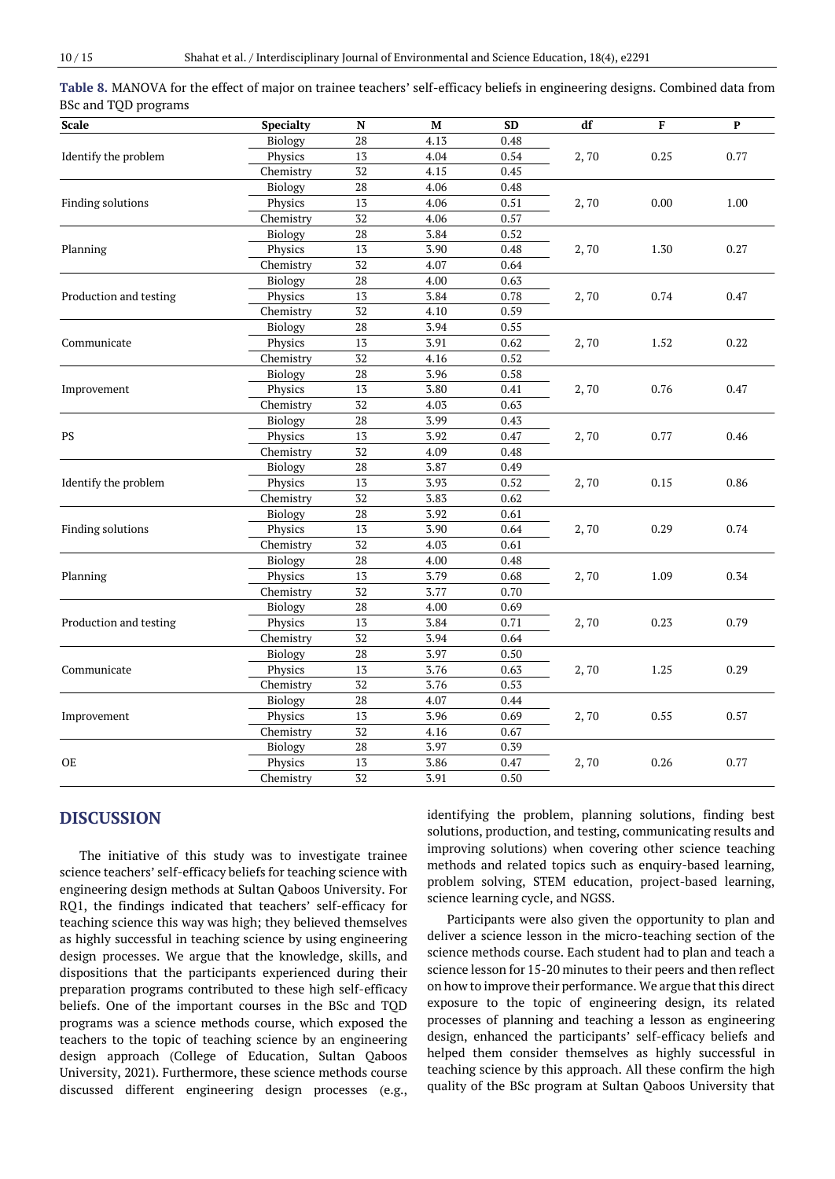| <b>Scale</b>           | Specialty | N               | M    | <b>SD</b> | df   | F    | P    |
|------------------------|-----------|-----------------|------|-----------|------|------|------|
|                        | Biology   | 28              | 4.13 | 0.48      |      |      |      |
| Identify the problem   | Physics   | 13              | 4.04 | 0.54      | 2,70 | 0.25 | 0.77 |
|                        | Chemistry | 32              | 4.15 | 0.45      |      |      |      |
|                        | Biology   | 28              | 4.06 | 0.48      |      |      |      |
| Finding solutions      | Physics   | 13              | 4.06 | 0.51      | 2,70 | 0.00 | 1.00 |
|                        | Chemistry | 32              | 4.06 | 0.57      |      |      |      |
|                        | Biology   | $\rm 28$        | 3.84 | 0.52      | 2,70 | 1.30 | 0.27 |
| Planning               | Physics   | 13              | 3.90 | 0.48      |      |      |      |
|                        | Chemistry | 32              | 4.07 | 0.64      |      |      |      |
|                        | Biology   | 28              | 4.00 | 0.63      | 2,70 | 0.74 | 0.47 |
| Production and testing | Physics   | 13              | 3.84 | 0.78      |      |      |      |
|                        | Chemistry | 32              | 4.10 | 0.59      |      |      |      |
|                        | Biology   | 28              | 3.94 | 0.55      | 2,70 | 1.52 | 0.22 |
| Communicate            | Physics   | 13              | 3.91 | 0.62      |      |      |      |
|                        | Chemistry | 32              | 4.16 | 0.52      |      |      |      |
|                        | Biology   | 28              | 3.96 | 0.58      | 2,70 | 0.76 | 0.47 |
| Improvement            | Physics   | 13              | 3.80 | $0.41\,$  |      |      |      |
|                        | Chemistry | $32\,$          | 4.03 | 0.63      |      |      |      |
|                        | Biology   | 28              | 3.99 | 0.43      | 2,70 | 0.77 | 0.46 |
| <b>PS</b>              | Physics   | $\overline{13}$ | 3.92 | 0.47      |      |      |      |
|                        | Chemistry | 32              | 4.09 | 0.48      |      |      |      |
|                        | Biology   | $\rm 28$        | 3.87 | 0.49      | 2,70 | 0.15 | 0.86 |
| Identify the problem   | Physics   | 13              | 3.93 | 0.52      |      |      |      |
|                        | Chemistry | 32              | 3.83 | 0.62      |      |      |      |
|                        | Biology   | $\rm 28$        | 3.92 | 0.61      | 2,70 | 0.29 | 0.74 |
| Finding solutions      | Physics   | 13              | 3.90 | 0.64      |      |      |      |
|                        | Chemistry | $\overline{32}$ | 4.03 | 0.61      |      |      |      |
|                        | Biology   | $\overline{28}$ | 4.00 | 0.48      | 2,70 | 1.09 |      |
| Planning               | Physics   | 13              | 3.79 | 0.68      |      |      | 0.34 |
|                        | Chemistry | 32              | 3.77 | 0.70      |      |      |      |
|                        | Biology   | $\overline{28}$ | 4.00 | 0.69      | 2,70 | 0.23 | 0.79 |
| Production and testing | Physics   | 13              | 3.84 | 0.71      |      |      |      |
|                        | Chemistry | 32              | 3.94 | 0.64      |      |      |      |
|                        | Biology   | 28              | 3.97 | 0.50      | 2,70 | 1.25 | 0.29 |
| Communicate            | Physics   | 13              | 3.76 | 0.63      |      |      |      |
|                        | Chemistry | 32              | 3.76 | 0.53      |      |      |      |
|                        | Biology   | 28              | 4.07 | 0.44      | 2,70 | 0.55 | 0.57 |
| Improvement            | Physics   | 13              | 3.96 | 0.69      |      |      |      |
|                        | Chemistry | $\overline{32}$ | 4.16 | 0.67      |      |      |      |
|                        | Biology   | 28              | 3.97 | 0.39      |      |      | 0.77 |
| <b>OE</b>              | Physics   | 13              | 3.86 | 0.47      | 2,70 | 0.26 |      |
|                        | Chemistry | 32              | 3.91 | 0.50      |      |      |      |

**Table 8.** MANOVA for the effect of major on trainee teachers' self-efficacy beliefs in engineering designs. Combined data from BSc and TQD programs

# **DISCUSSION**

The initiative of this study was to investigate trainee science teachers' self-efficacy beliefs for teaching science with engineering design methods at Sultan Qaboos University. For RQ1, the findings indicated that teachers' self-efficacy for teaching science this way was high; they believed themselves as highly successful in teaching science by using engineering design processes. We argue that the knowledge, skills, and dispositions that the participants experienced during their preparation programs contributed to these high self-efficacy beliefs. One of the important courses in the BSc and TQD programs was a science methods course, which exposed the teachers to the topic of teaching science by an engineering design approach (College of Education, Sultan Qaboos University, 2021). Furthermore, these science methods course discussed different engineering design processes (e.g., identifying the problem, planning solutions, finding best solutions, production, and testing, communicating results and improving solutions) when covering other science teaching methods and related topics such as enquiry-based learning, problem solving, STEM education, project-based learning, science learning cycle, and NGSS.

Participants were also given the opportunity to plan and deliver a science lesson in the micro-teaching section of the science methods course. Each student had to plan and teach a science lesson for 15-20 minutes to their peers and then reflect on how to improve their performance. We argue that this direct exposure to the topic of engineering design, its related processes of planning and teaching a lesson as engineering design, enhanced the participants' self-efficacy beliefs and helped them consider themselves as highly successful in teaching science by this approach. All these confirm the high quality of the BSc program at Sultan Qaboos University that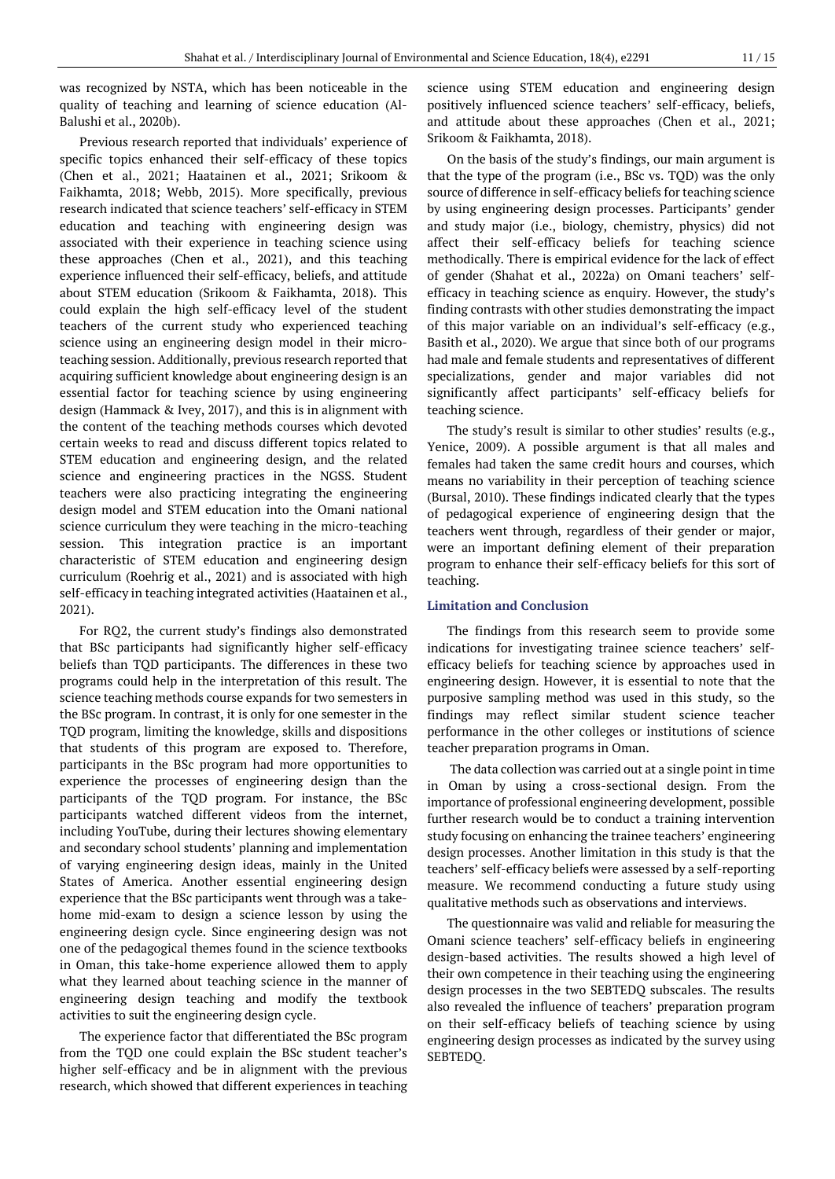was recognized by NSTA, which has been noticeable in the quality of teaching and learning of science education (Al-Balushi et al., 2020b).

Previous research reported that individuals' experience of specific topics enhanced their self-efficacy of these topics (Chen et al., 2021; Haatainen et al., 2021; Srikoom & Faikhamta, 2018; Webb, 2015). More specifically, previous research indicated that science teachers' self-efficacy in STEM education and teaching with engineering design was associated with their experience in teaching science using these approaches (Chen et al., 2021), and this teaching experience influenced their self-efficacy, beliefs, and attitude about STEM education (Srikoom & Faikhamta, 2018). This could explain the high self-efficacy level of the student teachers of the current study who experienced teaching science using an engineering design model in their microteaching session. Additionally, previous research reported that acquiring sufficient knowledge about engineering design is an essential factor for teaching science by using engineering design (Hammack & Ivey, 2017), and this is in alignment with the content of the teaching methods courses which devoted certain weeks to read and discuss different topics related to STEM education and engineering design, and the related science and engineering practices in the NGSS. Student teachers were also practicing integrating the engineering design model and STEM education into the Omani national science curriculum they were teaching in the micro-teaching session. This integration practice is an important characteristic of STEM education and engineering design curriculum (Roehrig et al., 2021) and is associated with high self-efficacy in teaching integrated activities (Haatainen et al., 2021).

For RQ2, the current study's findings also demonstrated that BSc participants had significantly higher self-efficacy beliefs than TQD participants. The differences in these two programs could help in the interpretation of this result. The science teaching methods course expands for two semesters in the BSc program. In contrast, it is only for one semester in the TQD program, limiting the knowledge, skills and dispositions that students of this program are exposed to. Therefore, participants in the BSc program had more opportunities to experience the processes of engineering design than the participants of the TQD program. For instance, the BSc participants watched different videos from the internet, including YouTube, during their lectures showing elementary and secondary school students' planning and implementation of varying engineering design ideas, mainly in the United States of America. Another essential engineering design experience that the BSc participants went through was a takehome mid-exam to design a science lesson by using the engineering design cycle. Since engineering design was not one of the pedagogical themes found in the science textbooks in Oman, this take-home experience allowed them to apply what they learned about teaching science in the manner of engineering design teaching and modify the textbook activities to suit the engineering design cycle.

The experience factor that differentiated the BSc program from the TQD one could explain the BSc student teacher's higher self-efficacy and be in alignment with the previous research, which showed that different experiences in teaching

science using STEM education and engineering design positively influenced science teachers' self-efficacy, beliefs, and attitude about these approaches (Chen et al., 2021; Srikoom & Faikhamta, 2018).

On the basis of the study's findings, our main argument is that the type of the program (i.e., BSc vs. TQD) was the only source of difference in self-efficacy beliefs for teaching science by using engineering design processes. Participants' gender and study major (i.e., biology, chemistry, physics) did not affect their self-efficacy beliefs for teaching science methodically. There is empirical evidence for the lack of effect of gender (Shahat et al., 2022a) on Omani teachers' selfefficacy in teaching science as enquiry. However, the study's finding contrasts with other studies demonstrating the impact of this major variable on an individual's self-efficacy (e.g., Basith et al., 2020). We argue that since both of our programs had male and female students and representatives of different specializations, gender and major variables did not significantly affect participants' self-efficacy beliefs for teaching science.

The study's result is similar to other studies' results (e.g., Yenice, 2009). A possible argument is that all males and females had taken the same credit hours and courses, which means no variability in their perception of teaching science (Bursal, 2010). These findings indicated clearly that the types of pedagogical experience of engineering design that the teachers went through, regardless of their gender or major, were an important defining element of their preparation program to enhance their self-efficacy beliefs for this sort of teaching.

#### **Limitation and Conclusion**

The findings from this research seem to provide some indications for investigating trainee science teachers' selfefficacy beliefs for teaching science by approaches used in engineering design. However, it is essential to note that the purposive sampling method was used in this study, so the findings may reflect similar student science teacher performance in the other colleges or institutions of science teacher preparation programs in Oman.

The data collection was carried out at a single point in time in Oman by using a cross-sectional design. From the importance of professional engineering development, possible further research would be to conduct a training intervention study focusing on enhancing the trainee teachers' engineering design processes. Another limitation in this study is that the teachers' self-efficacy beliefs were assessed by a self-reporting measure. We recommend conducting a future study using qualitative methods such as observations and interviews.

The questionnaire was valid and reliable for measuring the Omani science teachers' self-efficacy beliefs in engineering design-based activities. The results showed a high level of their own competence in their teaching using the engineering design processes in the two SEBTEDQ subscales. The results also revealed the influence of teachers' preparation program on their self-efficacy beliefs of teaching science by using engineering design processes as indicated by the survey using SEBTEDQ.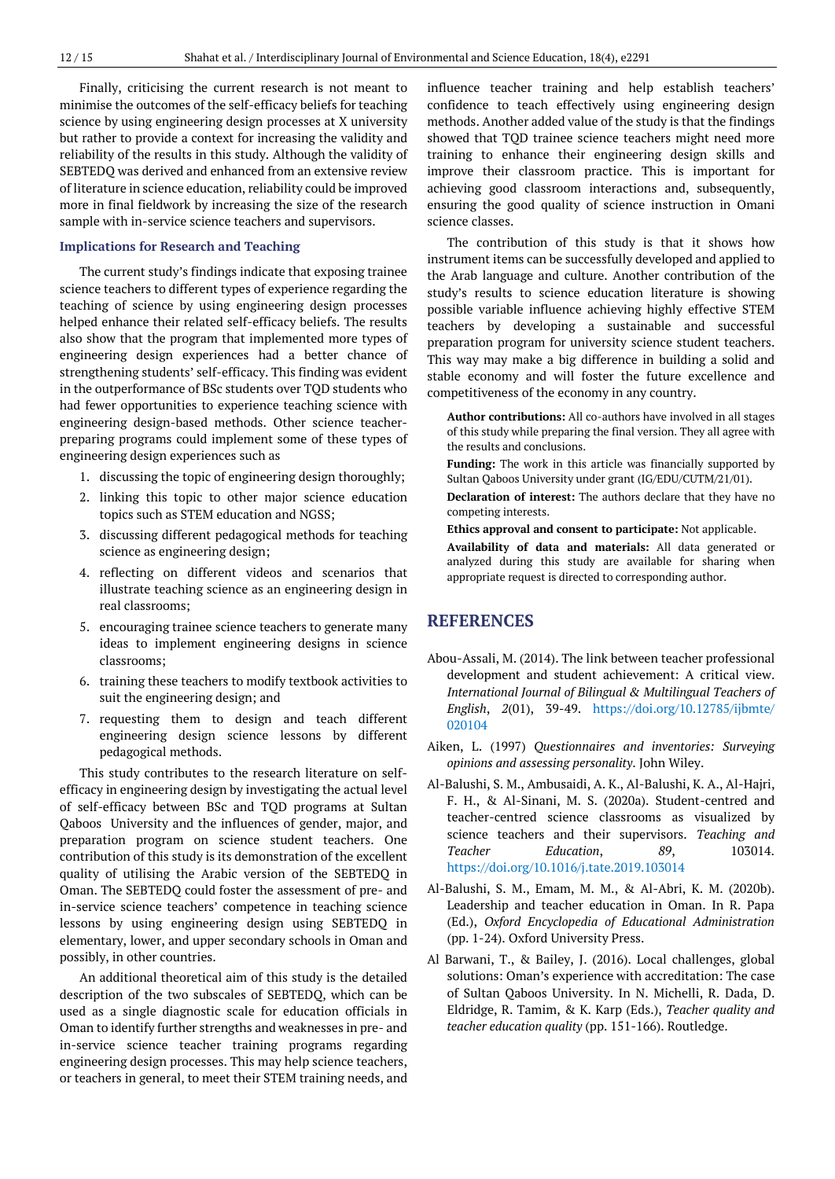Finally, criticising the current research is not meant to minimise the outcomes of the self-efficacy beliefs for teaching science by using engineering design processes at X university but rather to provide a context for increasing the validity and reliability of the results in this study. Although the validity of SEBTEDQ was derived and enhanced from an extensive review of literature in science education, reliability could be improved more in final fieldwork by increasing the size of the research sample with in-service science teachers and supervisors.

#### **Implications for Research and Teaching**

The current study's findings indicate that exposing trainee science teachers to different types of experience regarding the teaching of science by using engineering design processes helped enhance their related self-efficacy beliefs. The results also show that the program that implemented more types of engineering design experiences had a better chance of strengthening students' self-efficacy. This finding was evident in the outperformance of BSc students over TQD students who had fewer opportunities to experience teaching science with engineering design-based methods. Other science teacherpreparing programs could implement some of these types of engineering design experiences such as

- 1. discussing the topic of engineering design thoroughly;
- 2. linking this topic to other major science education topics such as STEM education and NGSS;
- 3. discussing different pedagogical methods for teaching science as engineering design;
- 4. reflecting on different videos and scenarios that illustrate teaching science as an engineering design in real classrooms;
- 5. encouraging trainee science teachers to generate many ideas to implement engineering designs in science classrooms;
- 6. training these teachers to modify textbook activities to suit the engineering design; and
- 7. requesting them to design and teach different engineering design science lessons by different pedagogical methods.

This study contributes to the research literature on selfefficacy in engineering design by investigating the actual level of self-efficacy between BSc and TQD programs at Sultan Qaboos University and the influences of gender, major, and preparation program on science student teachers. One contribution of this study is its demonstration of the excellent quality of utilising the Arabic version of the SEBTEDQ in Oman. The SEBTEDQ could foster the assessment of pre- and in-service science teachers' competence in teaching science lessons by using engineering design using SEBTEDQ in elementary, lower, and upper secondary schools in Oman and possibly, in other countries.

An additional theoretical aim of this study is the detailed description of the two subscales of SEBTEDQ, which can be used as a single diagnostic scale for education officials in Oman to identify further strengths and weaknesses in pre- and in-service science teacher training programs regarding engineering design processes. This may help science teachers, or teachers in general, to meet their STEM training needs, and

influence teacher training and help establish teachers' confidence to teach effectively using engineering design methods. Another added value of the study is that the findings showed that TQD trainee science teachers might need more training to enhance their engineering design skills and improve their classroom practice. This is important for achieving good classroom interactions and, subsequently, ensuring the good quality of science instruction in Omani science classes.

The contribution of this study is that it shows how instrument items can be successfully developed and applied to the Arab language and culture. Another contribution of the study's results to science education literature is showing possible variable influence achieving highly effective STEM teachers by developing a sustainable and successful preparation program for university science student teachers. This way may make a big difference in building a solid and stable economy and will foster the future excellence and competitiveness of the economy in any country.

**Author contributions:** All co-authors have involved in all stages of this study while preparing the final version. They all agree with the results and conclusions.

**Funding:** The work in this article was financially supported by Sultan Qaboos University under grant (IG/EDU/CUTM/21/01).

**Declaration of interest:** The authors declare that they have no competing interests.

**Ethics approval and consent to participate:** Not applicable.

**Availability of data and materials:** All data generated or analyzed during this study are available for sharing when appropriate request is directed to corresponding author.

# **REFERENCES**

- Abou-Assali, M. (2014). The link between teacher professional development and student achievement: A critical view. *International Journal of Bilingual & Multilingual Teachers of English*, *2*(01), 39-49. [https://doi.org/10.12785/ijbmte/](https://doi.org/10.12785/ijbmte/020104) [020104](https://doi.org/10.12785/ijbmte/020104)
- Aiken, L. (1997) *Questionnaires and inventories: Surveying opinions and assessing personality*. John Wiley.
- Al-Balushi, S. M., Ambusaidi, A. K., Al-Balushi, K. A., Al-Hajri, F. H., & Al-Sinani, M. S. (2020a). Student-centred and teacher-centred science classrooms as visualized by science teachers and their supervisors. *Teaching and Teacher Education*, *89*, 103014. <https://doi.org/10.1016/j.tate.2019.103014>
- Al-Balushi, S. M., Emam, M. M., & Al-Abri, K. M. (2020b). Leadership and teacher education in Oman. In R. Papa (Ed.), *Oxford Encyclopedia of Educational Administration* (pp. 1-24). Oxford University Press.
- Al Barwani, T., & Bailey, J. (2016). Local challenges, global solutions: Oman's experience with accreditation: The case of Sultan Qaboos University. In N. Michelli, R. Dada, D. Eldridge, R. Tamim, & K. Karp (Eds.), *Teacher quality and teacher education quality* (pp. 151-166). Routledge.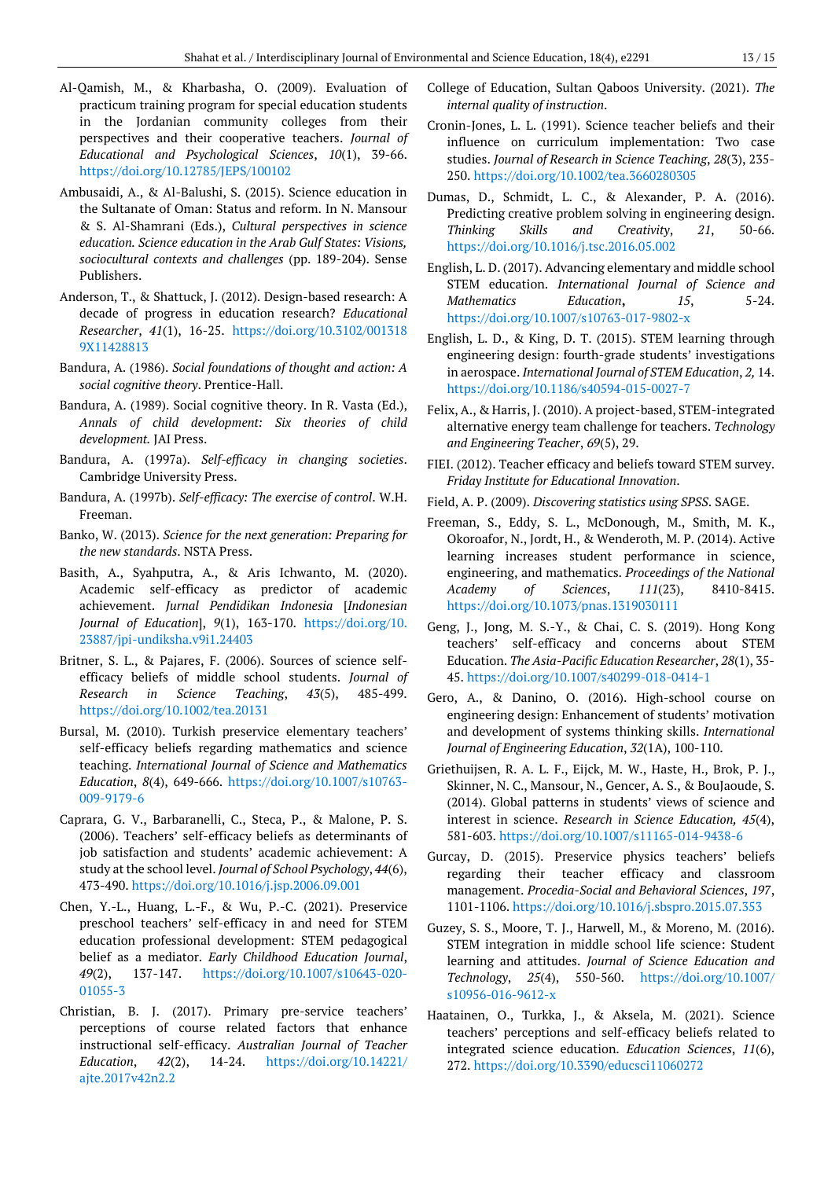- Al-Qamish, M., & Kharbasha, O. (2009). Evaluation of practicum training program for special education students in the Jordanian community colleges from their perspectives and their cooperative teachers. *Journal of Educational and Psychological Sciences*, *10*(1), 39-66. <https://doi.org/10.12785/JEPS/100102>
- Ambusaidi, A., & Al-Balushi, S. (2015). Science education in the Sultanate of Oman: Status and reform. In N. Mansour & S. Al-Shamrani (Eds.), *Cultural perspectives in science education. Science education in the Arab Gulf States: Visions, sociocultural contexts and challenges* (pp. 189-204). Sense Publishers.
- Anderson, T., & Shattuck, J. (2012). Design-based research: A decade of progress in education research? *Educational Researcher*, *41*(1), 16-25. [https://doi.org/10.3102/001318](https://doi.org/10.3102/0013189X11428813) [9X11428813](https://doi.org/10.3102/0013189X11428813)
- Bandura, A. (1986). *Social foundations of thought and action: A social cognitive theory*. Prentice-Hall.
- Bandura, A. (1989). Social cognitive theory. In R. Vasta (Ed.), *Annals of child development: Six theories of child development.* JAI Press.
- Bandura, A. (1997a). *Self-efficacy in changing societies*. Cambridge University Press.
- Bandura, A. (1997b). *Self-efficacy: The exercise of control*. W.H. Freeman.
- Banko, W. (2013). *Science for the next generation: Preparing for the new standards*. NSTA Press.
- Basith, A., Syahputra, A., & Aris Ichwanto, M. (2020). Academic self-efficacy as predictor of academic achievement. *Jurnal Pendidikan Indonesia* [*Indonesian Journal of Education*], *9*(1), 163-170. [https://doi.org/10.](https://doi.org/10.23887/jpi-undiksha.v9i1.24403) [23887/jpi-undiksha.v9i1.24403](https://doi.org/10.23887/jpi-undiksha.v9i1.24403)
- Britner, S. L., & Pajares, F. (2006). Sources of science selfefficacy beliefs of middle school students. *Journal of Research in Science Teaching*, *43*(5), 485-499. <https://doi.org/10.1002/tea.20131>
- Bursal, M. (2010). Turkish preservice elementary teachers' self-efficacy beliefs regarding mathematics and science teaching. *International Journal of Science and Mathematics Education*, *8*(4), 649-666. [https://doi.org/10.1007/s10763-](https://doi.org/10.1007/s10763-009-9179-6) [009-9179-6](https://doi.org/10.1007/s10763-009-9179-6)
- Caprara, G. V., Barbaranelli, C., Steca, P., & Malone, P. S. (2006). Teachers' self-efficacy beliefs as determinants of job satisfaction and students' academic achievement: A study at the school level. *Journal of School Psychology*, *44*(6), 473-490. <https://doi.org/10.1016/j.jsp.2006.09.001>
- Chen, Y.-L., Huang, L.-F., & Wu, P.-C. (2021). Preservice preschool teachers' self-efficacy in and need for STEM education professional development: STEM pedagogical belief as a mediator. *Early Childhood Education Journal*, *49*(2), 137-147. [https://doi.org/10.1007/s10643-020-](https://doi.org/10.1007/s10643-020-01055-3) [01055-3](https://doi.org/10.1007/s10643-020-01055-3)
- Christian, B. J. (2017). Primary pre-service teachers' perceptions of course related factors that enhance instructional self-efficacy. *Australian Journal of Teacher Education*, *42*(2), 14-24. [https://doi.org/10.14221/](https://doi.org/10.14221/ajte.2017v42n2.2) [ajte.2017v42n2.2](https://doi.org/10.14221/ajte.2017v42n2.2)
- College of Education, Sultan Qaboos University. (2021). *The internal quality of instruction*.
- Cronin-Jones, L. L. (1991). Science teacher beliefs and their influence on curriculum implementation: Two case studies. *Journal of Research in Science Teaching*, *28*(3), 235- 250. <https://doi.org/10.1002/tea.3660280305>
- Dumas, D., Schmidt, L. C., & Alexander, P. A. (2016). Predicting creative problem solving in engineering design. *Thinking Skills and Creativity*, *21*, 50-66. <https://doi.org/10.1016/j.tsc.2016.05.002>
- English, L. D. (2017). Advancing elementary and middle school STEM education. *International Journal of Science and Mathematics Education***,** *15*, 5-24. <https://doi.org/10.1007/s10763-017-9802-x>
- English, L. D., & King, D. T. (2015). STEM learning through engineering design: fourth-grade students' investigations in aerospace. *International Journal of STEM Education*, *2,* 14. <https://doi.org/10.1186/s40594-015-0027-7>
- Felix, A., & Harris, J. (2010). A project-based, STEM-integrated alternative energy team challenge for teachers. *Technology and Engineering Teacher*, *69*(5), 29.
- FIEI. (2012). Teacher efficacy and beliefs toward STEM survey. *Friday Institute for Educational Innovation*.
- Field, A. P. (2009). *Discovering statistics using SPSS*. SAGE.
- Freeman, S., Eddy, S. L., McDonough, M., Smith, M. K., Okoroafor, N., Jordt, H., & Wenderoth, M. P. (2014). Active learning increases student performance in science, engineering, and mathematics. *Proceedings of the National Academy of Sciences*, *111*(23), 8410-8415. <https://doi.org/10.1073/pnas.1319030111>
- Geng, J., Jong, M. S.-Y., & Chai, C. S. (2019). Hong Kong teachers' self-efficacy and concerns about STEM Education. *The Asia-Pacific Education Researcher*, *28*(1), 35- 45. <https://doi.org/10.1007/s40299-018-0414-1>
- Gero, A., & Danino, O. (2016). High-school course on engineering design: Enhancement of students' motivation and development of systems thinking skills. *International Journal of Engineering Education*, *32*(1A), 100-110.
- Griethuijsen, R. A. L. F., Eijck, M. W., Haste, H., Brok, P. J., Skinner, N. C., Mansour, N., Gencer, A. S., & BouJaoude, S. (2014). Global patterns in students' views of science and interest in science. *Research in Science Education, 45*(4), 581-603. <https://doi.org/10.1007/s11165-014-9438-6>
- Gurcay, D. (2015). Preservice physics teachers' beliefs regarding their teacher efficacy and classroom management. *Procedia-Social and Behavioral Sciences*, *197*, 1101-1106. <https://doi.org/10.1016/j.sbspro.2015.07.353>
- Guzey, S. S., Moore, T. J., Harwell, M., & Moreno, M. (2016). STEM integration in middle school life science: Student learning and attitudes. *Journal of Science Education and Technology*, *25*(4), 550-560. [https://doi.org/10.1007/](https://doi.org/10.1007/s10956-016-9612-x) [s10956-016-9612-x](https://doi.org/10.1007/s10956-016-9612-x)
- Haatainen, O., Turkka, J., & Aksela, M. (2021). Science teachers' perceptions and self-efficacy beliefs related to integrated science education. *Education Sciences*, *11*(6), 272. <https://doi.org/10.3390/educsci11060272>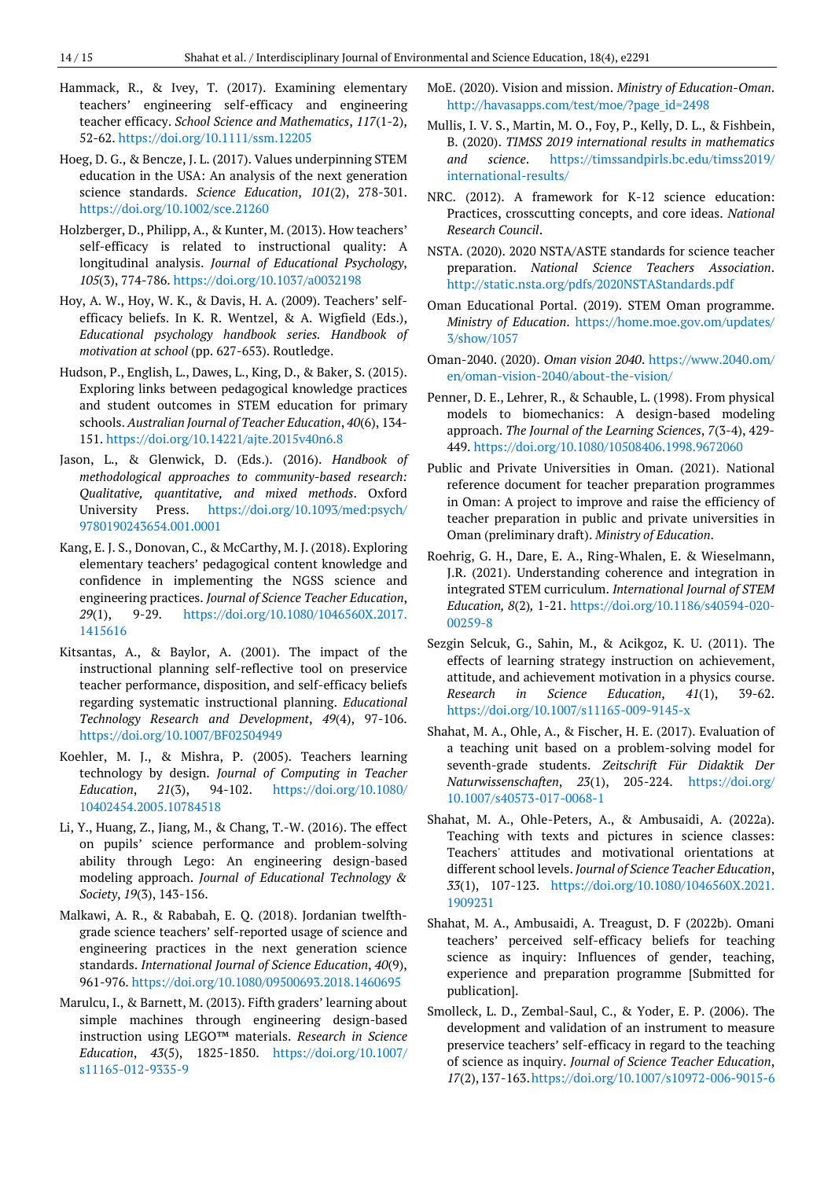- Hammack, R., & Ivey, T. (2017). Examining elementary teachers' engineering self-efficacy and engineering teacher efficacy. *School Science and Mathematics*, *117*(1-2), 52-62. <https://doi.org/10.1111/ssm.12205>
- Hoeg, D. G., & Bencze, J. L. (2017). Values underpinning STEM education in the USA: An analysis of the next generation science standards. *Science Education*, *101*(2), 278-301. <https://doi.org/10.1002/sce.21260>
- Holzberger, D., Philipp, A., & Kunter, M. (2013). How teachers' self-efficacy is related to instructional quality: A longitudinal analysis. *Journal of Educational Psychology*, *105*(3), 774-786. <https://doi.org/10.1037/a0032198>
- Hoy, A. W., Hoy, W. K., & Davis, H. A. (2009). Teachers' selfefficacy beliefs. In K. R. Wentzel, & A. Wigfield (Eds.), *Educational psychology handbook series. Handbook of motivation at school* (pp. 627-653). Routledge.
- Hudson, P., English, L., Dawes, L., King, D., & Baker, S. (2015). Exploring links between pedagogical knowledge practices and student outcomes in STEM education for primary schools. *Australian Journal of Teacher Education*, *40*(6), 134- 151. <https://doi.org/10.14221/ajte.2015v40n6.8>
- Jason, L., & Glenwick, D. (Eds.). (2016). *Handbook of methodological approaches to community-based research: Qualitative, quantitative, and mixed methods*. Oxford University Press. [https://doi.org/10.1093/med:psych/](https://doi.org/10.1093/med:psych/9780190243654.001.0001) [9780190243654.001.0001](https://doi.org/10.1093/med:psych/9780190243654.001.0001)
- Kang, E. J. S., Donovan, C., & McCarthy, M. J. (2018). Exploring elementary teachers' pedagogical content knowledge and confidence in implementing the NGSS science and engineering practices. *Journal of Science Teacher Education*, *29*(1), 9-29. [https://doi.org/10.1080/1046560X.2017.](https://doi.org/10.1080/1046560X.2017.1415616) [1415616](https://doi.org/10.1080/1046560X.2017.1415616)
- Kitsantas, A., & Baylor, A. (2001). The impact of the instructional planning self-reflective tool on preservice teacher performance, disposition, and self-efficacy beliefs regarding systematic instructional planning. *Educational Technology Research and Development*, *49*(4), 97-106. <https://doi.org/10.1007/BF02504949>
- Koehler, M. J., & Mishra, P. (2005). Teachers learning technology by design. *Journal of Computing in Teacher Education*, *21*(3), 94-102. [https://doi.org/10.1080/](https://doi.org/10.1080/10402454.2005.10784518) [10402454.2005.10784518](https://doi.org/10.1080/10402454.2005.10784518)
- Li, Y., Huang, Z., Jiang, M., & Chang, T.-W. (2016). The effect on pupils' science performance and problem-solving ability through Lego: An engineering design-based modeling approach. *Journal of Educational Technology & Society*, *19*(3), 143-156.
- Malkawi, A. R., & Rababah, E. Q. (2018). Jordanian twelfthgrade science teachers' self-reported usage of science and engineering practices in the next generation science standards. *International Journal of Science Education*, *40*(9), 961-976. <https://doi.org/10.1080/09500693.2018.1460695>
- Marulcu, I., & Barnett, M. (2013). Fifth graders' learning about simple machines through engineering design-based instruction using LEGO™ materials. *Research in Science Education*, *43*(5), 1825-1850. [https://doi.org/10.1007/](https://doi.org/10.1007/s11165-012-9335-9) [s11165-012-9335-9](https://doi.org/10.1007/s11165-012-9335-9)
- MoE. (2020). Vision and mission. *Ministry of Education-Oman*. [http://havasapps.com/test/moe/?page\\_id=2498](http://havasapps.com/test/moe/?page_id=2498)
- Mullis, I. V. S., Martin, M. O., Foy, P., Kelly, D. L., & Fishbein, B. (2020). *TIMSS 2019 international results in mathematics and science*. [https://timssandpirls.bc.edu/timss2019/](https://timssandpirls.bc.edu/timss2019/international-results/) [international-results/](https://timssandpirls.bc.edu/timss2019/international-results/)
- NRC. (2012). A framework for K-12 science education: Practices, crosscutting concepts, and core ideas. *National Research Council*.
- NSTA. (2020). 2020 NSTA/ASTE standards for science teacher preparation. *National Science Teachers Association*. <http://static.nsta.org/pdfs/2020NSTAStandards.pdf>
- Oman Educational Portal. (2019). STEM Oman programme. *Ministry of Education*. [https://home.moe.gov.om/updates/](https://home.moe.gov.om/updates/3/show/1057) [3/show/1057](https://home.moe.gov.om/updates/3/show/1057)
- Oman-2040. (2020). *Oman vision 2040*. [https://www.2040.om/](https://www.2040.om/en/oman-vision-2040/about-the-vision/) [en/oman-vision-2040/about-the-vision/](https://www.2040.om/en/oman-vision-2040/about-the-vision/)
- Penner, D. E., Lehrer, R., & Schauble, L. (1998). From physical models to biomechanics: A design-based modeling approach. *The Journal of the Learning Sciences*, *7*(3-4), 429- 449. <https://doi.org/10.1080/10508406.1998.9672060>
- Public and Private Universities in Oman. (2021). National reference document for teacher preparation programmes in Oman: A project to improve and raise the efficiency of teacher preparation in public and private universities in Oman (preliminary draft). *Ministry of Education*.
- Roehrig, G. H., Dare, E. A., Ring-Whalen, E. & Wieselmann, J.R. (2021). Understanding coherence and integration in integrated STEM curriculum. *International Journal of STEM Education, 8*(2)*,* 1-21. [https://doi.org/10.1186/s40594-020-](https://doi.org/10.1186/s40594-020-00259-8) [00259-8](https://doi.org/10.1186/s40594-020-00259-8)
- Sezgin Selcuk, G., Sahin, M., & Acikgoz, K. U. (2011). The effects of learning strategy instruction on achievement, attitude, and achievement motivation in a physics course. *Research in Science Education*, *41*(1), 39-62. <https://doi.org/10.1007/s11165-009-9145-x>
- Shahat, M. A., Ohle, A., & Fischer, H. E. (2017). Evaluation of a teaching unit based on a problem-solving model for seventh-grade students. *Zeitschrift Für Didaktik Der Naturwissenschaften*, *23*(1), 205-224. [https://doi.org/](https://doi.org/10.1007/s40573-017-0068-1) [10.1007/s40573-017-0068-1](https://doi.org/10.1007/s40573-017-0068-1)
- Shahat, M. A., Ohle-Peters, A., & Ambusaidi, A. (2022a). Teaching with texts and pictures in science classes: Teachers' attitudes and motivational orientations at different school levels. *Journal of Science Teacher Education*, *33*(1), 107-123. [https://doi.org/10.1080/1046560X.2021.](https://doi.org/10.1080/1046560X.2021.1909231) [1909231](https://doi.org/10.1080/1046560X.2021.1909231)
- Shahat, M. A., Ambusaidi, A. Treagust, D. F (2022b). Omani teachers' perceived self-efficacy beliefs for teaching science as inquiry: Influences of gender, teaching, experience and preparation programme [Submitted for publication].
- Smolleck, L. D., Zembal-Saul, C., & Yoder, E. P. (2006). The development and validation of an instrument to measure preservice teachers' self-efficacy in regard to the teaching of science as inquiry. *Journal of Science Teacher Education*, *17*(2),137-163[.https://doi.org/10.1007/s10972-006-9015-6](https://doi.org/10.1007/s10972-006-9015-6)